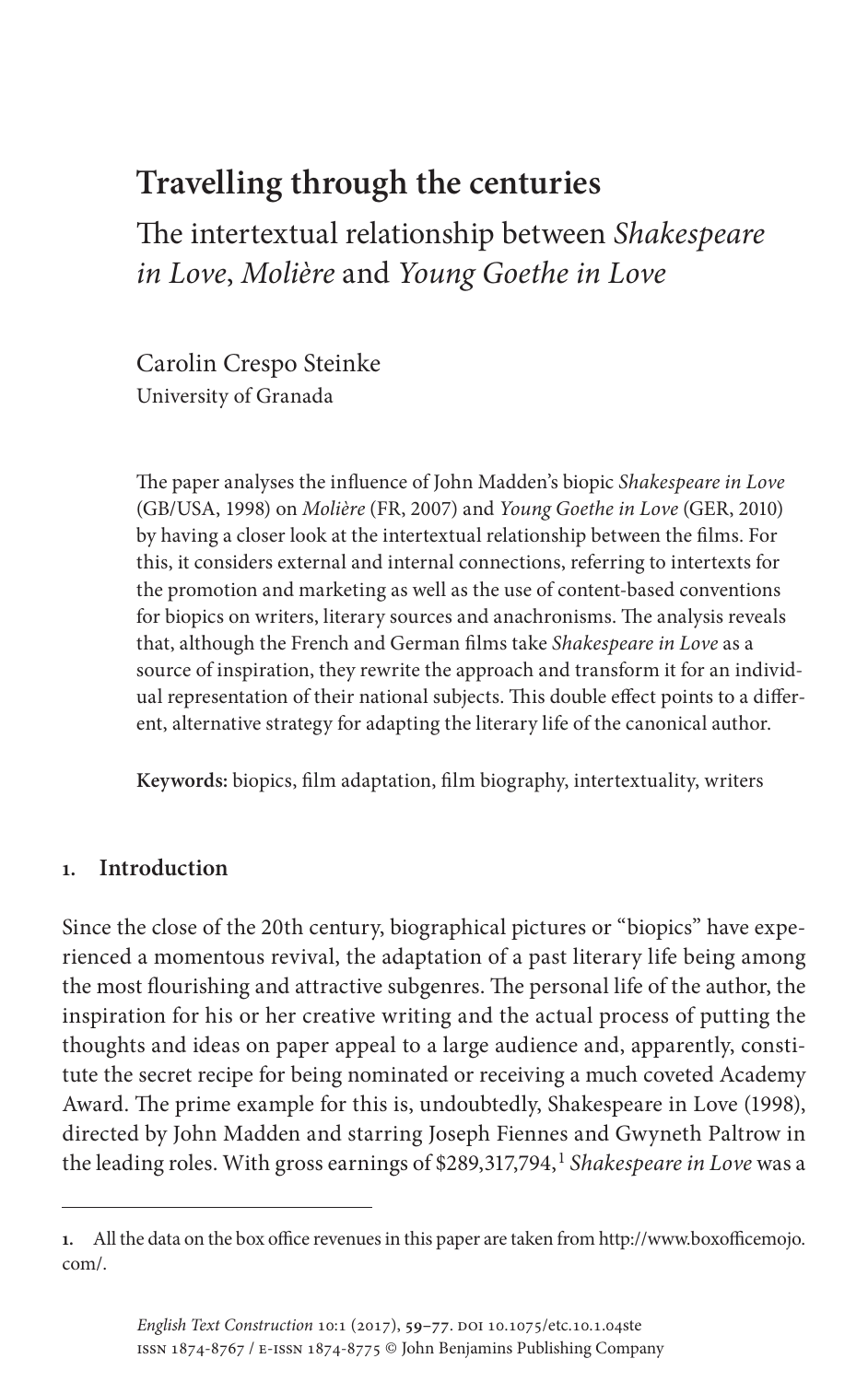# **Travelling through the centuries**

The intertextual relationship between *Shakespeare in Love*, *Molière* and *Young Goethe in Love*

Carolin Crespo Steinke University of Granada

The paper analyses the influence of John Madden's biopic *Shakespeare in Love* (GB/USA, 1998) on *Molière* (FR, 2007) and *Young Goethe in Love* (GER, 2010) by having a closer look at the intertextual relationship between the films. For this, it considers external and internal connections, referring to intertexts for the promotion and marketing as well as the use of content-based conventions for biopics on writers, literary sources and anachronisms. The analysis reveals that, although the French and German films take *Shakespeare in Love* as a source of inspiration, they rewrite the approach and transform it for an individual representation of their national subjects. This double effect points to a different, alternative strategy for adapting the literary life of the canonical author.

<span id="page-0-0"></span>**Keywords:** biopics, film adaptation, film biography, intertextuality, writers

## **1. Introduction**

Since the close of the 20th century, biographical pictures or "biopics" have experienced a momentous revival, the adaptation of a past literary life being among the most flourishing and attractive subgenres. The personal life of the author, the inspiration for his or her creative writing and the actual process [of putt](#page-17-0)ing the thoughts and ideas on paper appeal to a large audience and, apparently, constitute the secret recipe for being nominated or r[ec](#page-0-0)eiving a much coveted Academy Award. The prime example for this is, undoubtedly, Shakespeare in Love (1998), directed by John Madden and starring Joseph Fiennes and Gwyneth Paltrow in the leading roles. With gross earnings of \$289,317,794,<sup>1</sup> Shakespeare in Love was a

**<sup>1.</sup>** All the data on the box office revenues in this paper are taken from http://www.boxofficemojo. com/.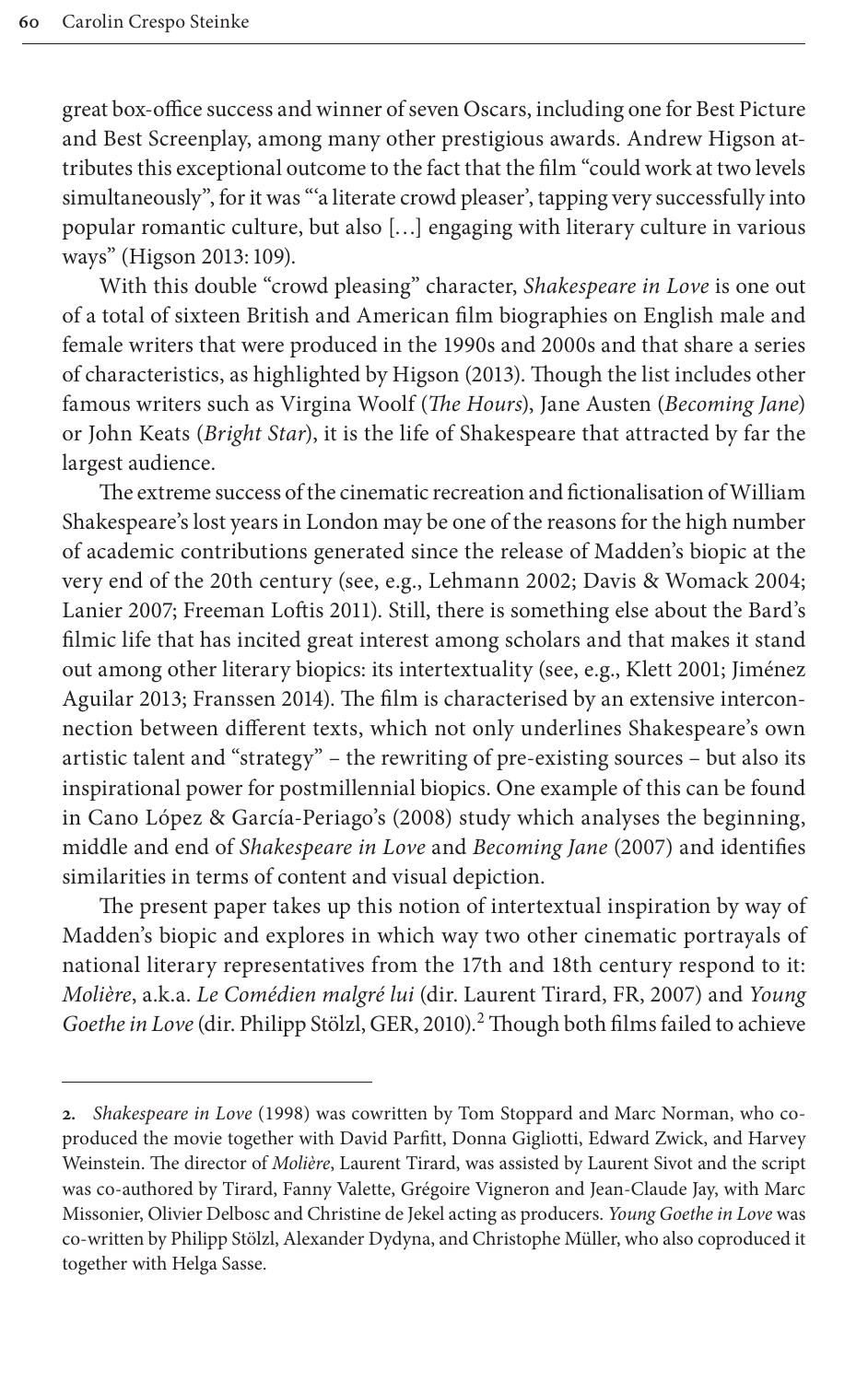great box-office success and winner of seven Oscars, including one for Best Picture and Best Screenplay, among many other prestigious awards. Andrew Higson at[tributes this e](#page-17-1)xceptional outcome to the fact that the film "could work at two levels simultaneously", for it was "'a literate crowd pleaser', tapping very successfully into popular romantic culture, but also […] engaging with literary culture in various ways" (Higson 2013: 109).

With this double "crowd [pleasing" cha](#page-17-1)racter, *Shakespeare in Love* is one out of a total of sixteen British and American film biographies on English male and female writers that were produced in the 1990s and 2000s and that share a series of characteristics, as highlighted by Higson (2013). Though the list includes other famous writers such as Virgina Woolf (*The Hours*), Jane Austen (*Becoming Jane*) or John Keats (*Bright Star*), it is the life of Shakespeare that attracted by far the largest audience.

The extreme success of the cinematic recreation and fictionalisation of William Shake[speare's lost years in L](#page-17-2)ondon may be one of the reasons for the high number of academic contributions generated since the release of Madden's biopic at the very end of the 20th century (see, e.g., Lehmann 200[2; Davis &](#page-17-3) [Womack](#page-17-4) 2004; [Lanier](#page-17-4) [2007; Freeman](#page-17-5) Loftis 2011). Still, there is something else about the Bard's filmic life that has incited great interest among scholars and that makes it stand out among other literary biopics: its intertextuality (see, e.g., Klett 2001; Jiménez Aguilar 2013; Franssen 2014). The film is characterised by an extensive intercon[nection between different texts, wh](#page-17-6)ich not only underlines Shakespeare's own artistic talent and "strategy" – the rewriting of [pre-existing](#page-17-7) sources – but also its inspirational power for postmillennial biopics. One example of this can be found in Cano López & García-Periago's (2008) study which analyses the beginning, middle and end of *Shakespeare in Love* and *Becoming Jane* (2007) and identifies similarities in terms of content and visual depiction.

<span id="page-1-0"></span>The present paper takes up this notion of intertextual inspiration by way of Madden's biopic and explores i[n wh](#page-18-0)i[ch](#page-1-0) way two other cinematic portrayals of national literary representatives from the 17th and 18th century respond to it: *Molière*, a.k.a. *Le Comédien malgré lui* (dir. Laurent Tirard, FR, 2007) and *Young*  Goethe in Love [\(dir. P](#page-17-0)hilipp Stölzl, GER, 2010).<sup>2</sup> Though both films failed to achieve

**<sup>2.</sup>** *Shakespeare in Love* (1998) was cowritten by Tom Stoppard and Marc Norman, who coproduced the movie together with David Parfitt, Donna Gigliotti, Edward Zwick, and Harvey Weinstein. The director of *Molière*, Laurent Tirard, was assisted by Laurent Sivot and the script was co-authored by Tirard, Fanny Valette, Grégoire Vigneron and Jean-Claude Jay, with Marc Missonier, Olivier Delbosc and Christine de Jekel acting as producers. *Young Goethe in Love* was co-written by Philipp Stölzl, Alexander Dydyna, and Christophe Müller, who also coproduced it together with Helga Sasse.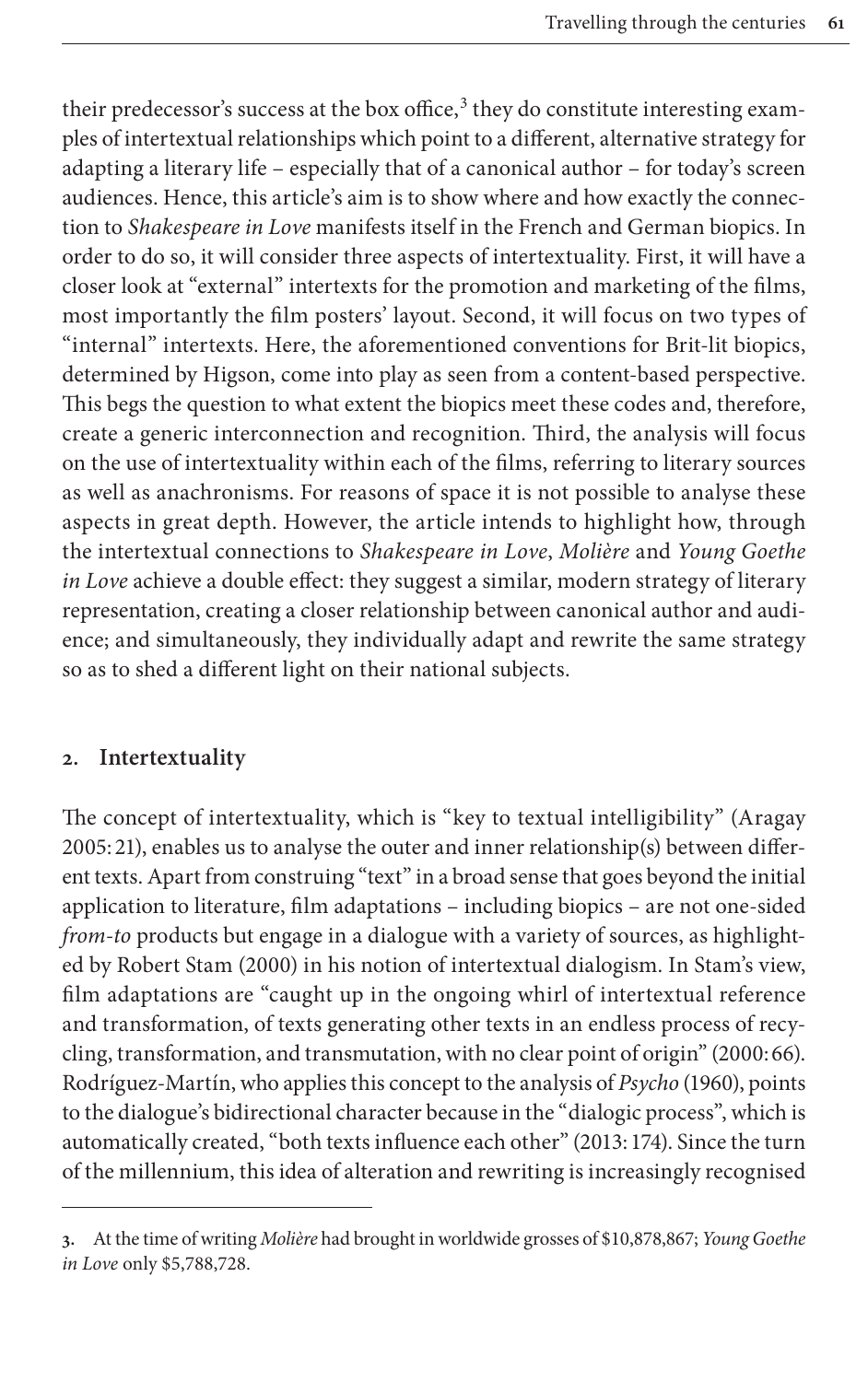their predecessor's success at the box office, $3$  they do constitute interesting examples of intertextual relationships which point to a different, alternative strategy for adapting a literary life – especially that of a canonical author – for today's screen audiences. Hence, this article's aim is to show where and how exactly the connection to *Shakespeare in Love* manifests itself in the French and German biopics. In order to do so, it will consider three aspects of intertextuality. First, it will have a closer look at "external" intertexts for the promotion and marketing of the films, most importantly the film posters' layout. Second, it will focus on two types of "internal" intertexts. Here, the aforementioned conventions for Brit-lit biopics, determined by Higson, come into play as seen from a content-based perspective. This begs the question to what extent the biopics meet these codes and, therefore, create a generic interconnection and recognition. Third, the analysis will focus on the use of intertextuality within each of the films, referring to literary sources as well as anachronisms. For reasons of space it is not possible to analyse these aspects in great depth. However, the article intends to highlight how, through the intertextual connections to *Shakespeare in Love*, *Molière* and *Young Goethe in Love* achieve a double effect: they suggest a similar, modern strategy of literary representation, creating a closer relationship between canonical author and audience; and simultaneously, they individually adapt and rewrite the same strategy so as to shed a different light on their national subjects.

## **2. Intertextuality**

The concept of intertextuality, which is "key to textual intelligibility" (Aragay 2005: 21), enables us to analyse the outer and inner relationship(s) between differ[ent texts. Apart from](#page-18-1) construing "text" in a broad sense that goes beyond the initial application to literature, film adaptations – including biopics – are not one-sided *from-to* products but engage in a dialogue with a variety of sources, as highlighted by Robert Stam (2000) in his notion of intertextual dialogism[. In S](#page-18-2)tam's view, film adaptations are "caught up in the ongoing whirl of intertextual reference and transformation, of texts generating other texts in an endless process of recycling, transformation, and transmutation, with no [clear](#page-18-3) point of origin" (2000:66). Rodríguez-Martín, who applies this concept to the analysis of *Psycho* (1960), points to the dialogue's bidirectional character because in the "dialogic process", which is automatically created, "both texts influence each other" (2013: 174). Since the turn of the millennium, this idea of alteration and rewriting is increasingly recognised

**<sup>3.</sup>** At the time of writing *Molière* had brought in worldwide grosses of \$10,878,867; *Young Goethe in Love* only \$5,788,728.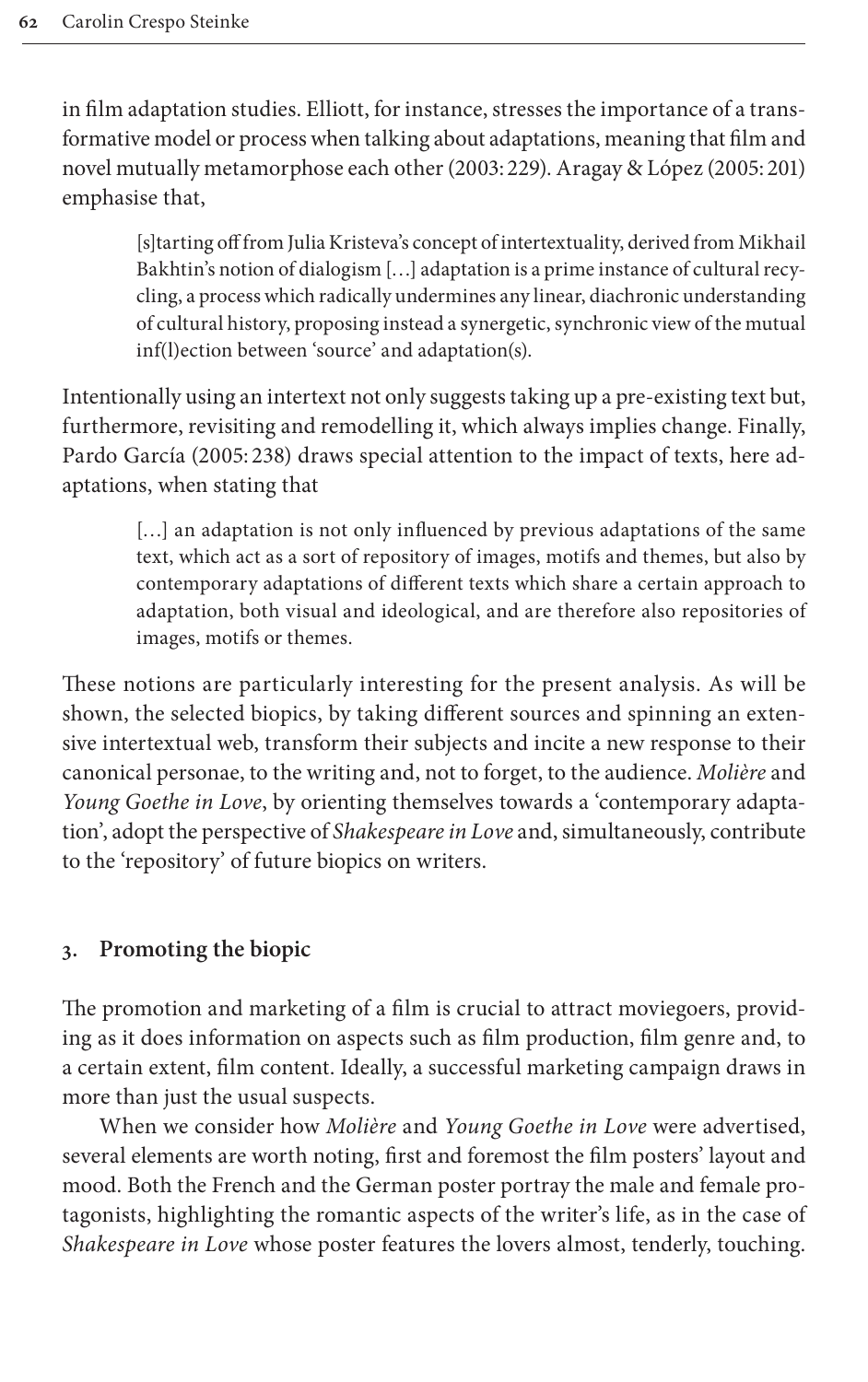in film adaptation studies. Elliott, f[or inst](#page-17-8)ance, [stresses the importanc](#page-17-9)e of a transformative model or process when talking about adaptations, meaning that film and novel mutually metamorphose each other (2003: 229). Aragay & López (2005: 201) emphasise that,

> [s]tarting off from Julia Kristeva's concept of intertextuality, derived from Mikhail Bakhtin's notion of dialogism […] adaptation is a prime instance of cultural recycling, a process which radically undermines any linear, diachronic understanding of cultural history, proposing instead a synergetic, synchronic view of the mutual inf(l)ection between 'source' and adaptation(s).

[Intentionally](#page-18-4) using an intertext not only suggests taking up a pre-existing text but, furthermore, revisiting and remodelling it, which always implies change. Finally, Pardo García (2005: 238) draws special attention to the impact of texts, here adaptations, when stating that

> [...] an adaptation is not only influenced by previous adaptations of the same text, which act as a sort of repository of images, motifs and themes, but also by contemporary adaptations of different texts which share a certain approach to adaptation, both visual and ideological, and are therefore also repositories of images, motifs or themes.

These notions are particularly interesting for the present analysis. As will be shown, the selected biopics, by taking different sources and spinning an extensive intertextual web, transform their subjects and incite a new response to their canonical personae, to the writing and, not to forget, to the audience. *Molière* and *Young Goethe in Love*, by orienting themselves towards a 'contemporary adaptation', adopt the perspective of *Shakespeare in Love* and, simultaneously, contribute to the 'repository' of future biopics on writers.

## **3. Promoting the biopic**

The promotion and marketing of a film is crucial to attract moviegoers, providing as it does information on aspects such as film production, film genre and, to a certain extent, film content. Ideally, a successful marketing campaign draws in more than just the usual suspects.

When we consider how *Molière* and *Young Goethe in Love* were advertised, several elements are worth noting, first and foremost the film posters' layout and mood. Both the French and the German poster portray the male and female protagonists, highlighting the romantic aspects of the writer's life, as in the case of *Shakespeare in Love* whose poster features the lovers almost, tenderly, touching.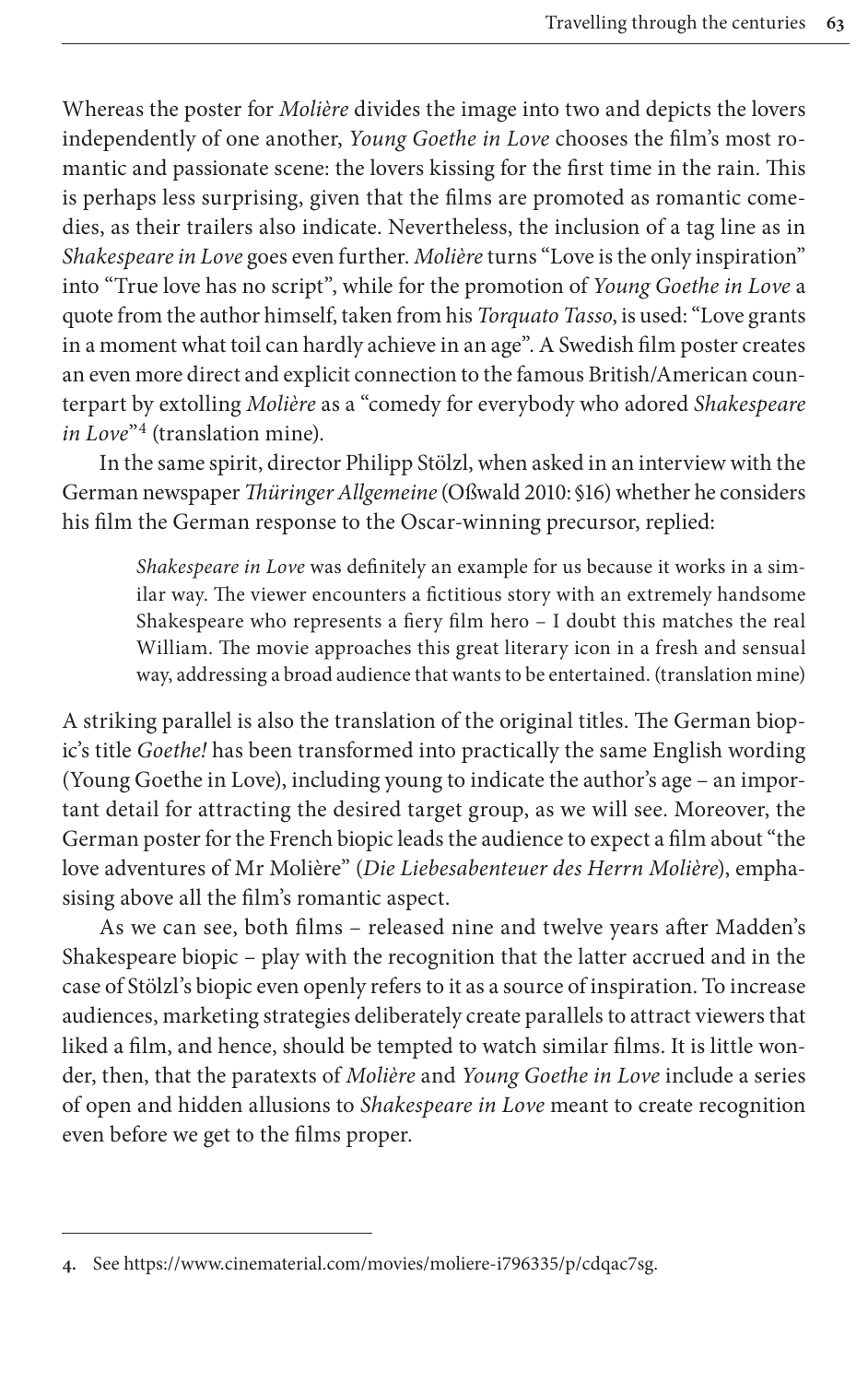Whereas the poster for *Molière* divides the image into two and depicts the lovers independently of one another, *Young Goethe in Love* chooses the film's most romantic and passionate scene: the lovers kissing for the first time in the rain. This is perhaps less surprising, given that the films are promoted as romantic comedies, as their trailers also indicate. Nevertheless, the inclusion of a tag line as in *Shakespeare in Love* goes even further. *Molière* turns "Love is the only inspiration" into "True love has no script", while for the promotion of *Young Goethe in Love* a quote from the author himself, taken from his *Torquato Tasso*, is used: "Love grants i[n](#page-4-0) a moment what toil can hardly achieve in an age". A Swedish film poster creates an even more direct and explicit connection to the famous British/American counterpart by extolling *Molière* as a "c[omedy for eve](#page-18-2)rybody who adored *Shakespeare in Love*"4 (translation mine).

In the same spirit, director Philipp Stölzl, when asked in an interview with the German newspaper *Thüringer Allgemeine* (Oßwald 2010:§16) whether he considers his film the German response to the Oscar-winning precursor, replied:

> *Shakespeare in Love* was definitely an example for us because it works in a similar way. The viewer encounters a fictitious story with an extremely handsome Shakespeare who represents a fiery film hero – I doubt this matches the real William. The movie approaches this great literary icon in a fresh and sensual way, addressing a broad audience that wants to be entertained. (translation mine)

[A striking parallel is also the translation of the original tit](https://www.cinematerial.com/movies/moliere-i796335/p/cdqac7sg.)les. The German biopic's title *Goethe!* has been transformed into practically the same English wording (Young Goethe in Love), including young to indicate the author's age – an important detail for attracting the desired target group, as we will see. Moreover, the German poster for the French biopic leads the audience to expect a film about "the love adventures of Mr Molière" (*Die Liebesabenteuer des Herrn Molière*), emphasising above all the film's romantic aspect.

<span id="page-4-0"></span>As we can see, both films – released nine and twelve years after Madden's Shakespeare biopic – play with the recognition that the latter accrued and in the case of Stölzl's biopic even openly refers to it as a source of inspiration. To increase audiences, marketing strategies deliberately create parallels to attract viewers that liked a film, and hence, should be tempted to watch similar films. It is little wonder, then, that the paratexts of *Molière* and *Young Goethe in Love* include a series of open and hidden allusions to *Shakespeare in Love* meant to create recognition even before we get to the films proper.

**<sup>4.</sup>** See https://www.cinematerial.com/movies/moliere-i796335/p/cdqac7sg.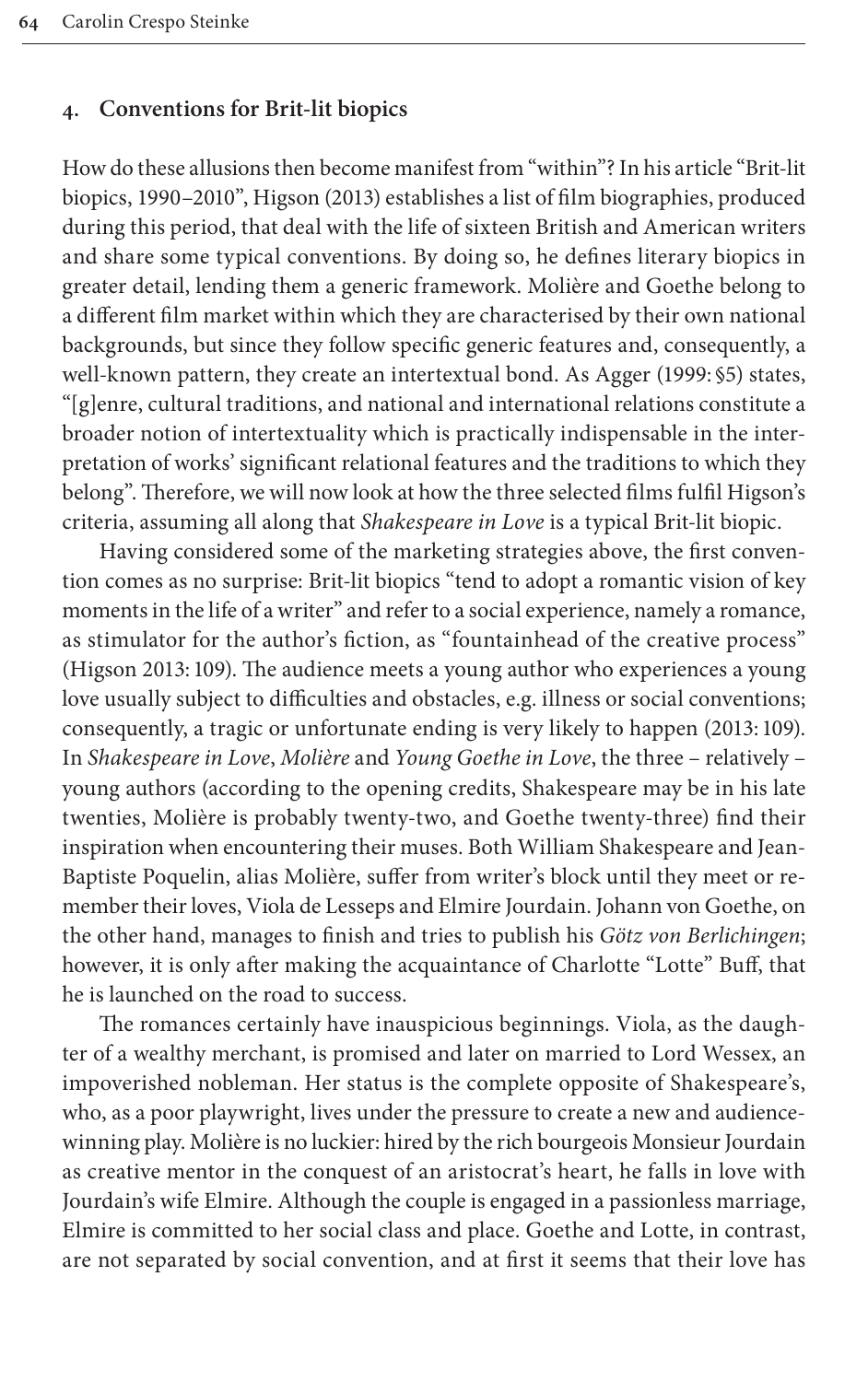#### **4. Conventi[ons for Brit-li](#page-17-1)t biopics**

How do these allusions then become manifest from "within"? In his article "Brit-lit biopics, 1990–2010", Higson (2013) establishes a list of film biographies, produced during this period, that deal with the life of sixteen British and American writers and share some typical conventions. By doing so, he defines literary biopics in greater detail, lending them a generic framework. [Molière and](#page-16-0) Goethe belong to a different film market within which they are characterised by their own national backgrounds, but since they follow specific generic features and, consequently, a well-known pattern, they create an intertextual bond. As Agger (1999: §5) states, "[g]enre, cultural traditions, and national and international relations constitute a broader notion of intertextuality which is practically indispensable in the interpretation of works' significant relational features and the traditions to which they belong". Therefore, we will now look at how the three selected films fulfil Higson's criteria, assuming all along that *Shakespeare in Love* is a typical Brit-lit biopic.

Having considered some of the marketing strategies above, the first conven[tion co](#page-17-1)mes as no surprise: Brit-lit biopics "tend to adopt a romantic vision of key moments in the life of a writer" and refer to a social experience, namely a romance, as stimulator for the author's fiction, as "fountainhead of the [creat](#page-18-3)ive process" (Higson 2013: 109). The audience meets a young author who experiences a young love usually subject to difficulties and obstacles, e.g. illness or social conventions; consequently, a tragic or unfortunate ending is very likely to happen (2013: 109). In *Shakespeare in Love*, *Molière* and *Young Goethe in Love*, the three – relatively – young authors (according to the opening credits, Shakespeare may be in his late twenties, Molière is probably twenty-two, and Goethe twenty-three) find their inspiration when encountering their muses. Both William Shakespeare and Jean-Baptiste Poquelin, alias Molière, suffer from writer's block until they meet or remember their loves, Viola de Lesseps and Elmire Jourdain. Johann von Goethe, on the other hand, manages to finish and tries to publish his *Götz von Berlichingen*; however, it is only after making the acquaintance of Charlotte "Lotte" Buff, that he is launched on the road to success.

The romances certainly have inauspicious beginnings. Viola, as the daughter of a wealthy merchant, is promised and later on married to Lord Wessex, an impoverished nobleman. Her status is the complete opposite of Shakespeare's, who, as a poor playwright, lives under the pressure to create a new and audiencewinning play. Molière is no luckier: hired by the rich bourgeois Monsieur Jourdain as creative mentor in the conquest of an aristocrat's heart, he falls in love with Jourdain's wife Elmire. Although the couple is engaged in a passionless marriage, Elmire is committed to her social class and place. Goethe and Lotte, in contrast, are not separated by social convention, and at first it seems that their love has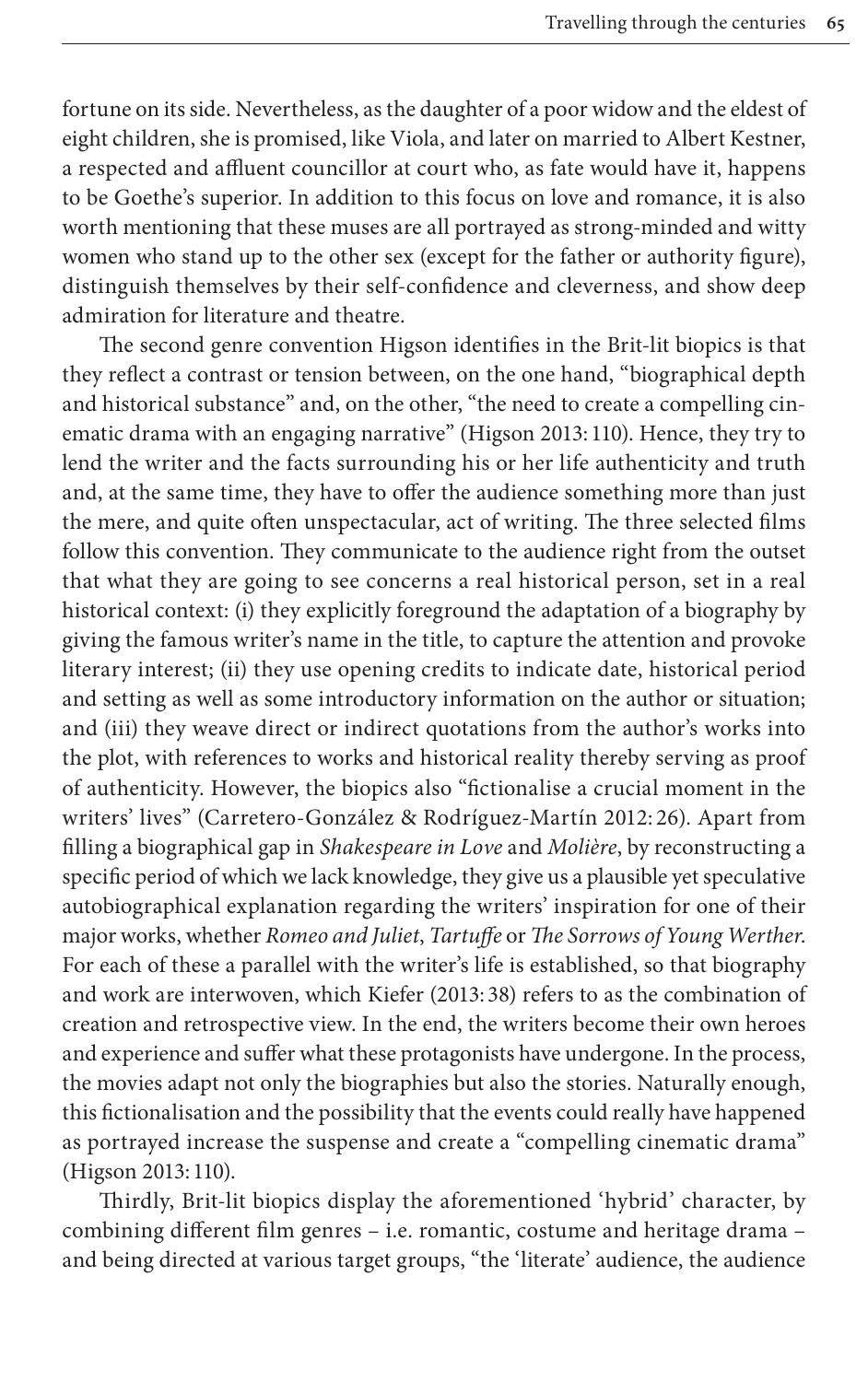fortune on its side. Nevertheless, as the daughter of a poor widow and the eldest of eight children, she is promised, like Viola, and later on married to Albert Kestner, a respected and affluent councillor at court who, as fate would have it, happens to be Goethe's superior. In addition to this focus on love and romance, it is also worth mentioning that these muses are all portrayed as strong-minded and witty women who stand up to the other sex (except for the father or authority figure), distinguish themselves by their self-confidence and cleverness, and show deep admiration for literature and theatre.

The second genre convention Hi[gson identifie](#page-17-1)s in the Brit-lit biopics is that they reflect a contrast or tension between, on the one hand, "biographical depth and historical substance" and, on the other, "the need to create a compelling cinematic drama with an engaging narrative" (Higson 2013: 110). Hence, they try to lend the writer and the facts surrounding his or her life authenticity and truth and, at the same time, they have to offer the audience something more than just the mere, and quite often unspectacular, act of writing. The three selected films follow this convention. They communicate to the audience right from the outset that what they are going to see concerns a real historical person, set in a real historical context: (i) they explicitly foreground the adaptation of a biography by giving the famous writer's name in the title, to capture the attention and provoke literary interest; (ii) they use opening credits to indicate date, historical period and setting as well as some introductory information on the author or situation; and (iii) [they weave direct or indirect quotations from](#page-17-10) the author's works into the plot, with references to works and historical reality thereby serving as proof of authenticity. However, the biopics also "fictionalise a crucial moment in the writers' lives" (Carretero-González & Rodríguez-Martín 2012: 26). Apart from filling a biographical gap in *Shakespeare in Love* and *Molière*, by reconstructing a specific period of which we lack knowledge, they give us a plausible yet speculative autobiographical explana[tion regardin](#page-17-11)g the writers' inspiration for one of their major works, whether *Romeo and Juliet*, *Tartuffe* or *The Sorrows of Young Werther*. For each of these a parallel with the writer's life is established, so that biography and work are interwoven, which Kiefer (2013: 38) refers to as the combination of creation and retrospective view. In the end, the writers become their own heroes and experience and suffer what these protagonists have undergone. In the process, [the mo](#page-17-1)vies adapt not only the biographies but also the stories. Naturally enough, this fictionalisation and the possibility that the events could really have happened as portrayed increase the suspense and create a "compelling cinematic drama" (Higson 2013: 110).

Thirdly, Brit-lit biopics display the aforementioned 'hybrid' character, by combining different film genres – i.e. romantic, costume and heritage drama – and being directed at various target groups, "the 'literate' audience, the audience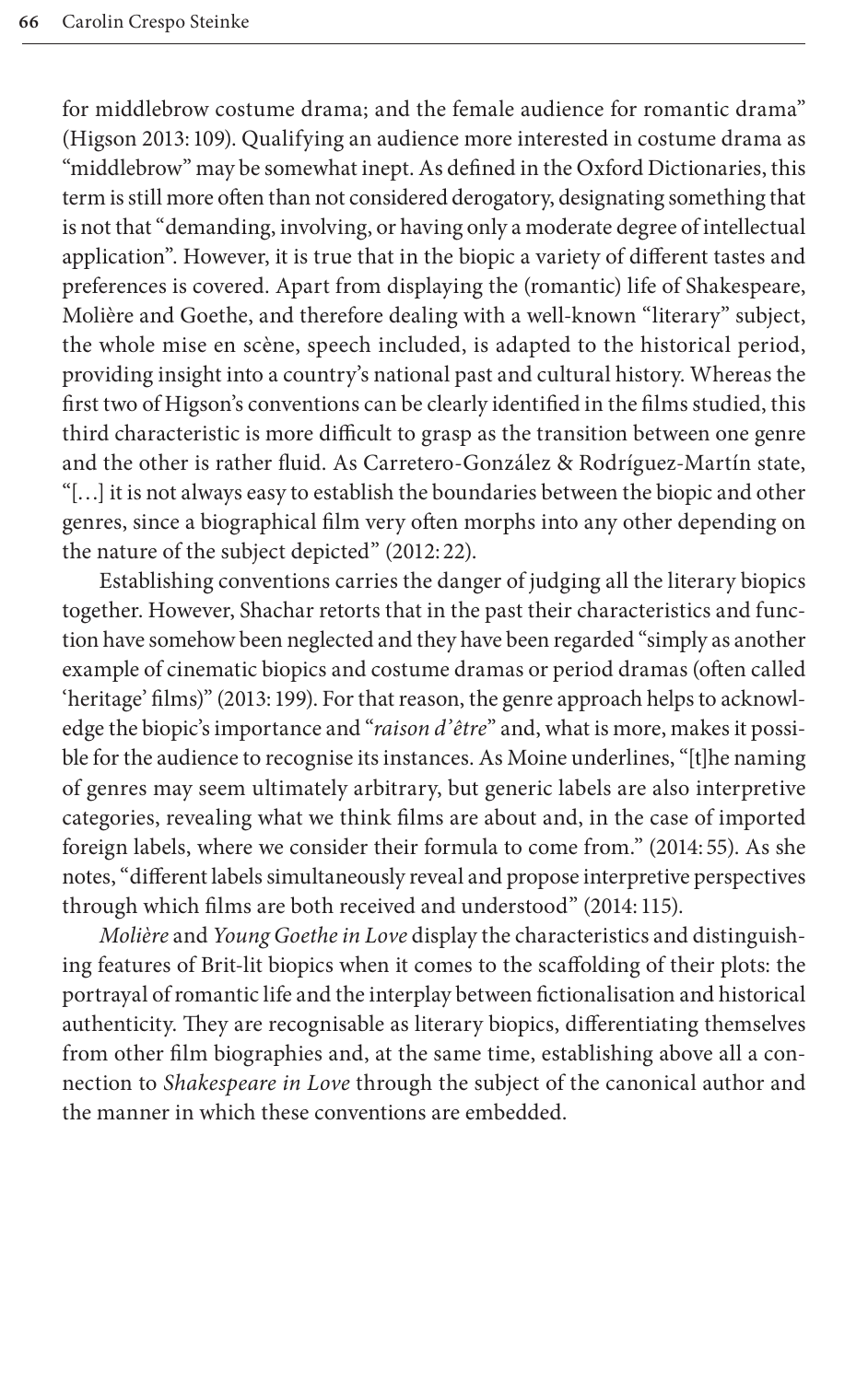for middlebrow costume drama; and the female audience for romantic drama" (Higson 2013: 109). Qualifying an audience more interested in costume drama as "middlebrow" may be somewhat inept. As defined in the Oxford Dictionaries, this term is still more often than not considered derogatory, designating something that is not that "demanding, involving, or having only a moderate degree of intellectual application". However, it is true that in the biopic a variety of different tastes and preferences is covered. Apart from displaying the (romantic) life of Shakespeare, Molière and Goethe, and therefore dealing with a well-known "literary" subject, the whole mise en scène, speech included, is adapted to the historical period, providing insight into a country's national past and cultural history. Whereas the first two of Higson's conventions can be clearly identified in the films studied, this third characteristic is more difficult to grasp as the transition between one genre and the other is rather fluid. [As C](#page-17-10)arretero-González & Rodríguez-Martín state, "[…] it is not always easy to establish the boundaries between the biopic and other genres, since a biographical film very often morphs into any other depending on the nature of the subject depicted" (2012: 22).

Establishing conventions carries the danger of judging all the literary biopics together. [Howev](#page-18-3)er, Shachar retorts that in the past their characteristics and function have somehow been neglected and they have been regarded "simply as another example of cinematic biopics and costume dramas or period dramas (often called 'heritage' films)" (2013:199). For that reason, the genre approach helps to acknowledge the biopic's importance and "*raison d'être*" and, what is more, makes it possible for the audience to recognise its instances. As Moine u[nderli](#page-17-12)nes, "[t]he naming of genres may seem ultimately arbitrary, but generic labels are also interpretive categories, revealing what we think films are abo[ut and](#page-17-12), in the case of imported foreign labels, where we consider their formula to come from." (2014: 55). As she notes, "different labels simultaneously reveal and propose interpretive perspectives through which films are both received and understood" (2014: 115).

*Molière* and *Young Goethe in Love* display the characteristics and distinguishing features of Brit-lit biopics when it comes to the scaffolding of their plots: the portrayal of romantic life and the interplay between fictionalisation and historical authenticity. They are recognisable as literary biopics, differentiating themselves from other film biographies and, at the same time, establishing above all a connection to *Shakespeare in Love* through the subject of the canonical author and the manner in which these conventions are embedded.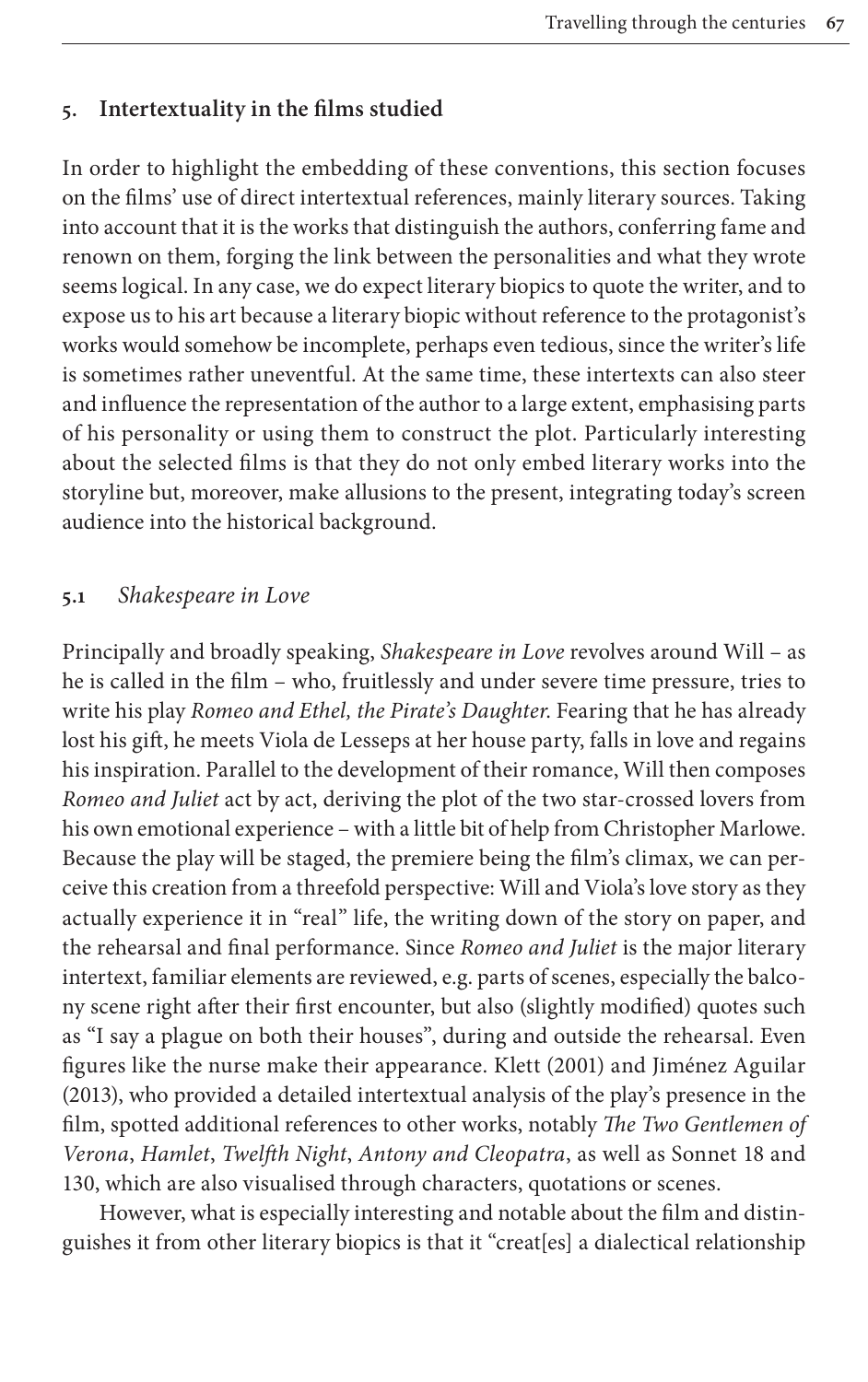## **5. Intertextuality in the films studied**

In order to highlight the embedding of these conventions, this section focuses on the films' use of direct intertextual references, mainly literary sources. Taking into account that it is the works that distinguish the authors, conferring fame and renown on them, forging the link between the personalities and what they wrote seems logical. In any case, we do expect literary biopics to quote the writer, and to expose us to his art because a literary biopic without reference to the protagonist's works would somehow be incomplete, perhaps even tedious, since the writer's life is sometimes rather uneventful. At the same time, these intertexts can also steer and influence the representation of the author to a large extent, emphasising parts of his personality or using them to construct the plot. Particularly interesting about the selected films is that they do not only embed literary works into the storyline but, moreover, make allusions to the present, integrating today's screen audience into the historical background.

## **5.1** *Shakespeare in Love*

Principally and broadly speaking, *Shakespeare in Love* revolves around Will – as he is called in the film – who, fruitlessly and under severe time pressure, tries to write his play *Romeo and Ethel, the Pirate's Daughter*. Fearing that he has already lost his gift, he meets Viola de Lesseps at her house party, falls in love and regains his inspiration. Parallel to the development of their romance, Will then composes *Romeo and Juliet* act by act, deriving the plot of the two star-crossed lovers from his own emotional experience – with a little bit of help from Christopher Marlowe. Because the play will be staged, the premiere being the film's climax, we can perceive this creation from a threefold perspective: Will and Viola's love story as they actually experience it in "real" life, the writing down of the story on paper, and the rehearsal and final performance. Since *Romeo and Juliet* is the major literary intertext, familiar elements are reviewed[, e.g. parts of](#page-17-3) sce[nes, especially the](#page-17-4) balcony scene right after their first encounter, but also (slightly modified) quotes such as "I say a plague on both their houses", during and outside the rehearsal. Even figures like the nurse make their appearance. Klett (2001) and Jiménez Aguilar (2013), who provided a detailed intertextual analysis of the play's presence in the film, spotted additional references to other works, notably *The Two Gentlemen of Verona*, *Hamlet*, *Twelfth Night*, *Antony and Cleopatra*, as well as Sonnet 18 and 130, which are also visualised through characters, quotations or scenes.

However, what is especially interesting and notable about the film and distinguishes it from other literary biopics is that it "creat[es] a dialectical relationship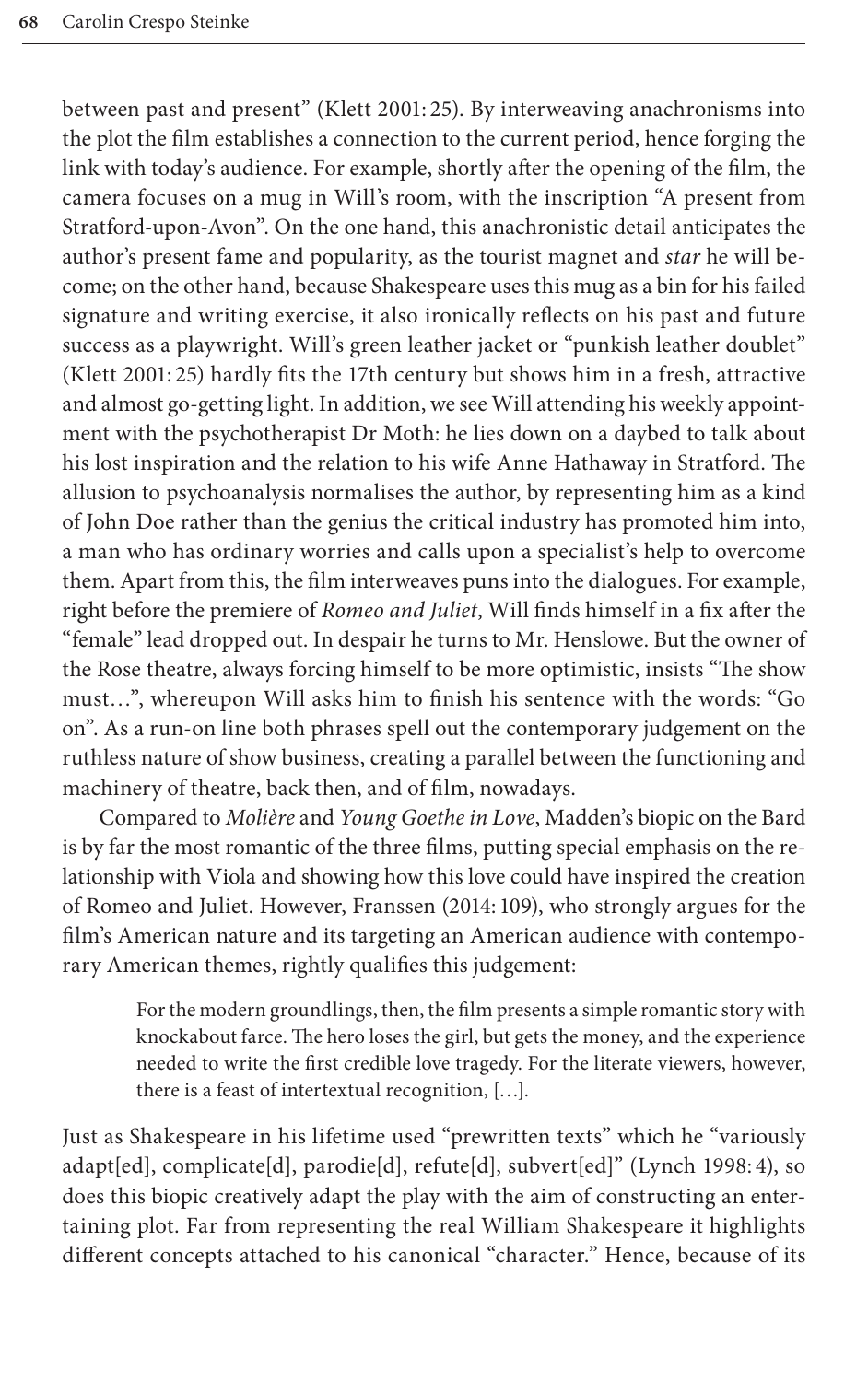between past and present" (Klett 2001: 25). By interweaving anachronisms into the plot the film establishes a connection to the current period, hence forging the link with today's audience. For example, shortly after the opening of the film, the camera focuses on a mug in Will's room, with the inscription "A present from Stratford-upon-Avon". On the one hand, this anachronistic detail anticipates the author's present fame and popularity, as the tourist magnet and *star* he will be[come](#page-17-3); on the other hand, because Shakespeare uses this mug as a bin for his failed signature and writing exercise, it also ironically reflects on his past and future success as a playwright. Will's green leather jacket or "punkish leather doublet" (Klett 2001: 25) hardly fits the 17th century but shows him in a fresh, attractive and almost go-getting light. In addition, we see Will attending his weekly appointment with the psychotherapist Dr Moth: he lies down on a daybed to talk about his lost inspiration and the relation to his wife Anne Hathaway in Stratford. The allusion to psychoanalysis normalises the author, by representing him as a kind of John Doe rather than the genius the critical industry has promoted him into, a man who has ordinary worries and calls upon a specialist's help to overcome them. Apart from this, the film interweaves puns into the dialogues. For example, right before the premiere of *Romeo and Juliet*, Will finds himself in a fix after the "female" lead dropped out. In despair he turns to Mr. Henslowe. But the owner of the Rose theatre, always forcing himself to be more optimistic, insists "The show must…", whereupon Will asks him to finish his sentence with the words: "Go on". As a run-on line both phrases spell out the contemporary judgement on the ruthless nature of show business, creating a parallel between the functioning and machinery of theatre, back then, and of film, nowadays.

Compared to *Molière* and *[Young Goe](#page-17-5)the in Love*, Madden's biopic on the Bard is by far the most romantic of the three films, putting special emphasis on the relationship with Viola and showing how this love could have inspired the creation of Romeo and Juliet. However, Franssen (2014: 109), who strongly argues for the film's American nature and its targeting an American audience with contemporary American themes, rightly qualifies this judgement:

> For the modern groundlings, then, the film presents a simple romantic story with knockabout farce. The hero loses the girl, but gets the money, and the experience needed to write the first credible love tragedy. For t[he literate view](#page-17-0)ers, however, there is a feast of intertextual recognition, […].

Just as Shakespeare in his lifetime used "prewritten texts" which he "variously adapt[ed], complicate[d], parodie[d], refute[d], subvert[ed]" (Lynch 1998: 4), so does this biopic creatively adapt the play with the aim of constructing an entertaining plot. Far from representing the real William Shakespeare it highlights different concepts attached to his canonical "character." Hence, because of its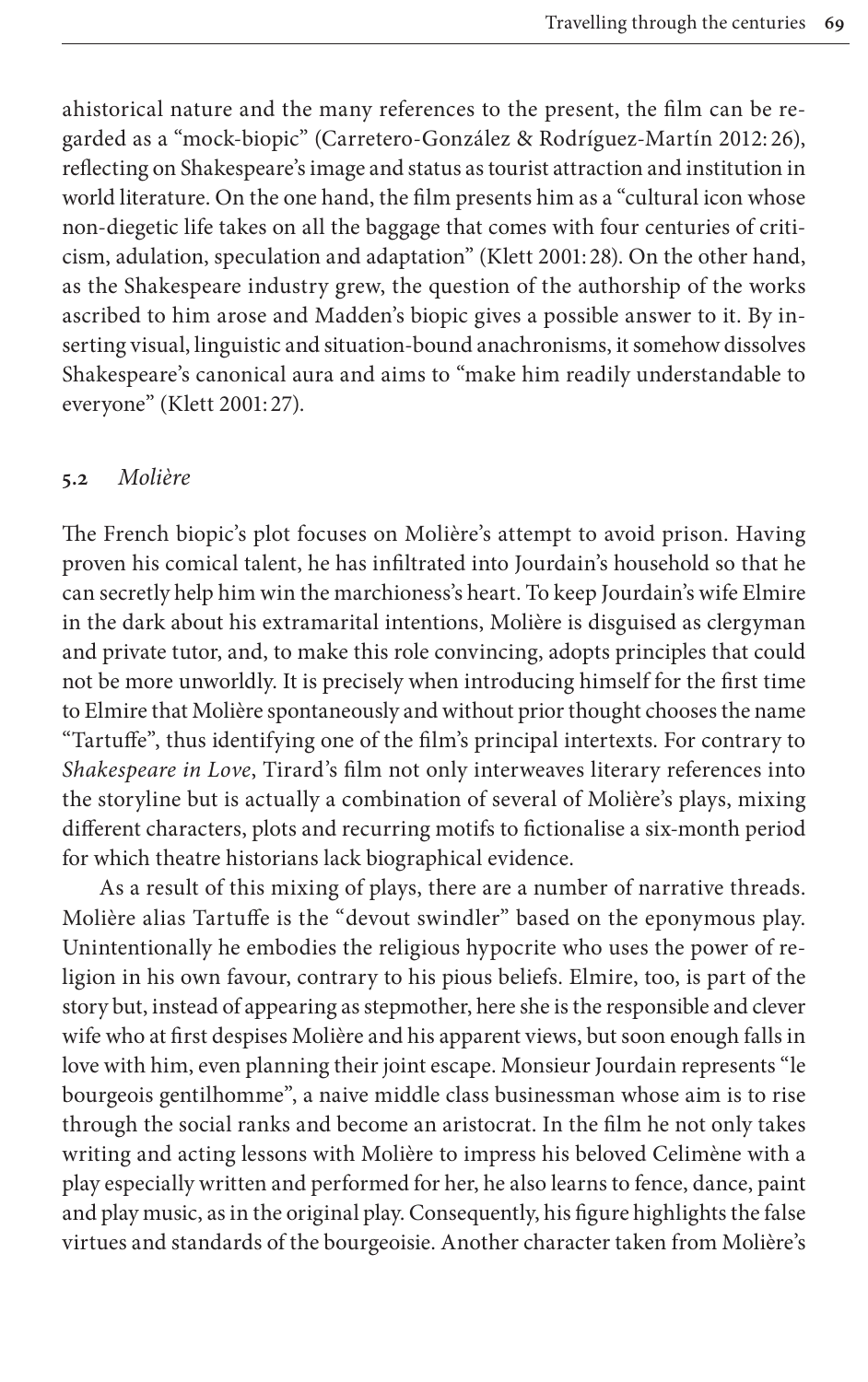ahistorical nature and the many references to the present, the film can be regarded as a "mock-biopic" (Carretero-González & Rodríguez-Martín 2012: 26), reflecting on Shakespeare's image and st[atus as tour](#page-17-3)ist attraction and institution in world literature. On the one hand, the film presents him as a "cultural icon whose non-diegetic life takes on all the baggage that comes with four centuries of criticism, adulation, speculation and adaptation" (Klett 2001: 28). On the other hand, as the Shakespeare industry grew, the question of the authorship of the works ascr[ibed to him](#page-17-3) arose and Madden's biopic gives a possible answer to it. By inserting visual, linguistic and situation-bound anachronisms, it somehow dissolves Shakespeare's canonical aura and aims to "make him readily understandable to everyone" (Klett 2001: 27).

#### **5.2** *Molière*

The French biopic's plot focuses on Molière's attempt to avoid prison. Having proven his comical talent, he has infiltrated into Jourdain's household so that he can secretly help him win the marchioness's heart. To keep Jourdain's wife Elmire in the dark about his extramarital intentions, Molière is disguised as clergyman and private tutor, and, to make this role convincing, adopts principles that could not be more unworldly. It is precisely when introducing himself for the first time to Elmire that Molière spontaneously and without prior thought chooses the name "Tartuffe", thus identifying one of the film's principal intertexts. For contrary to *Shakespeare in Love*, Tirard's film not only interweaves literary references into the storyline but is actually a combination of several of Molière's plays, mixing different characters, plots and recurring motifs to fictionalise a six-month period for which theatre historians lack biographical evidence.

As a result of this mixing of plays, there are a number of narrative threads. Molière alias Tartuffe is the "devout swindler" based on the eponymous play. Unintentionally he embodies the religious hypocrite who uses the power of religion in his own favour, contrary to his pious beliefs. Elmire, too, is part of the story but, instead of appearing as stepmother, here she is the responsible and clever wife who at first despises Molière and his apparent views, but soon enough falls in love with him, even planning their joint escape. Monsieur Jourdain represents "le bourgeois gentilhomme", a naive middle class businessman whose aim is to rise through the social ranks and become an aristocrat. In the film he not only takes writing and acting lessons with Molière to impress his beloved Celimène with a play especially written and performed for her, he also learns to fence, dance, paint and play music, as in the original play. Consequently, his figure highlights the false virtues and standards of the bourgeoisie. Another character taken from Molière's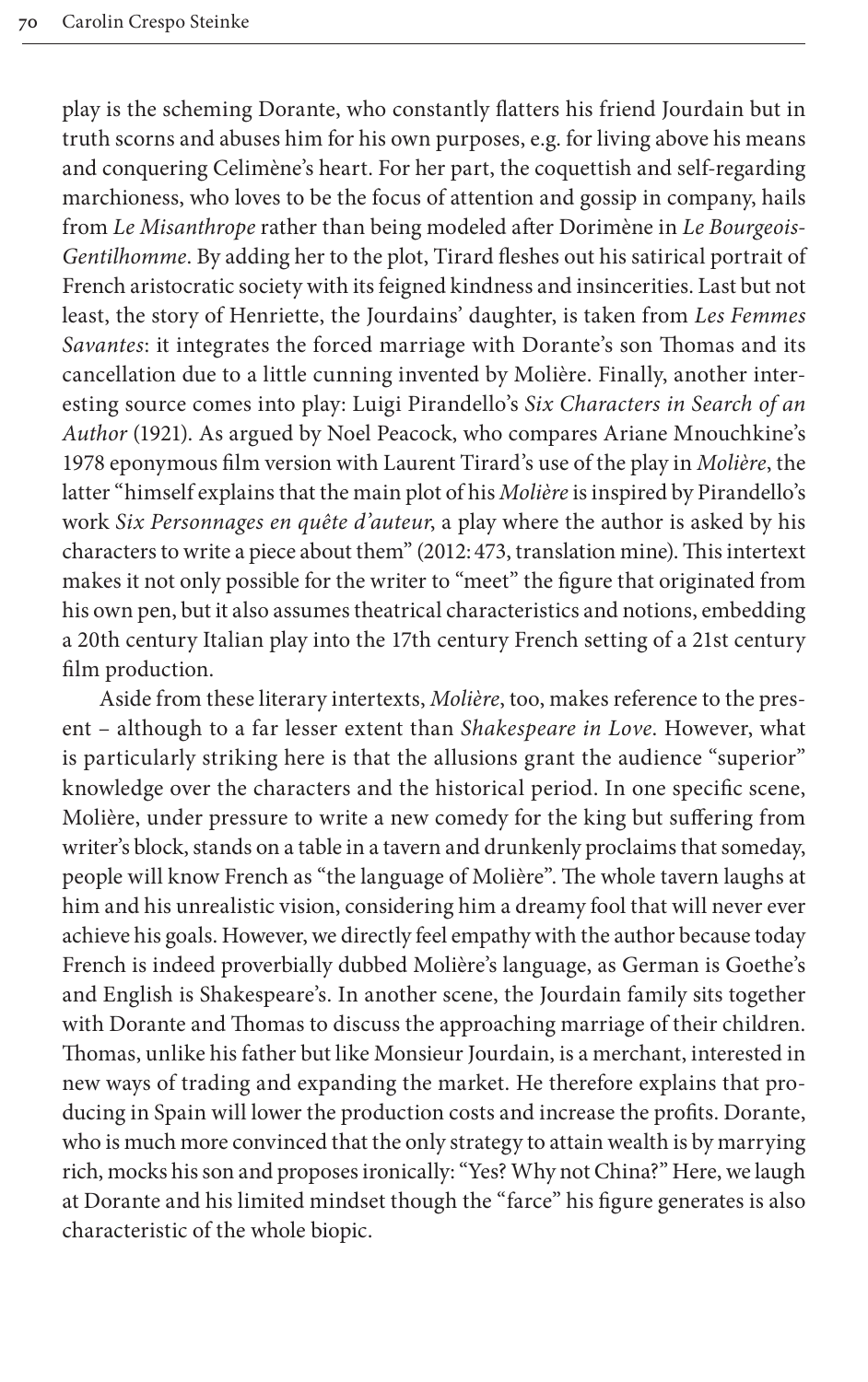play is the scheming Dorante, who constantly flatters his friend Jourdain but in truth scorns and abuses him for his own purposes, e.g. for living above his means and conquering Celimène's heart. For her part, the coquettish and self-regarding marchioness, who loves to be the focus of attention and gossip in company, hails from *Le Misanthrope* rather than being modeled after Dorimène in *Le Bourgeois-Gentilhomme*. By adding her to the plot, Tirard fleshes out his satirical portrait of French aristocratic society with its feigned kindness and insincerities. Last but not least, the story of Henriette, the Jourdains' daughter, is taken from *Les Femmes Savantes*: it integrates the forced marriage with Dorante's son Thomas and its cancellation due to a little cunning invented by Molière. Finally, another interesting source comes into play: Luigi Pirandello's *Six Characters in Search of an Author* (1921). As argued by Noel Peacock, who compares Ariane Mnouchkine's 1978 eponymous film version with Laurent Tirard's use of the play in *Molière*, the latter "himself explains that the main plot of his *Molière* is inspired by Pirandello's work *Six Personnages en quête d'auteur*, a play where the author is asked by his characters to write a piece about them" (2012: 473, translation mine). This intertext makes it not only possible for the writer to "meet" the figure that originated from his own pen, but it also assumes theatrical characteristics and notions, embedding a 20th century Italian play into the 17th century French setting of a 21st century film production.

Aside from these literary intertexts, *Molière*, too, makes reference to the present – although to a far lesser extent than *Shakespeare in Love*. However, what is particularly striking here is that the allusions grant the audience "superior" knowledge over the characters and the historical period. In one specific scene, Molière, under pressure to write a new comedy for the king but suffering from writer's block, stands on a table in a tavern and drunkenly proclaims that someday, people will know French as "the language of Molière". The whole tavern laughs at him and his unrealistic vision, considering him a dreamy fool that will never ever achieve his goals. However, we directly feel empathy with the author because today French is indeed proverbially dubbed Molière's language, as German is Goethe's and English is Shakespeare's. In another scene, the Jourdain family sits together with Dorante and Thomas to discuss the approaching marriage of their children. Thomas, unlike his father but like Monsieur Jourdain, is a merchant, interested in new ways of trading and expanding the market. He therefore explains that producing in Spain will lower the production costs and increase the profits. Dorante, who is much more convinced that the only strategy to attain wealth is by marrying rich, mocks his son and proposes ironically: "Yes? Why not China?" Here, we laugh at Dorante and his limited mindset though the "farce" his figure generates is also characteristic of the whole biopic.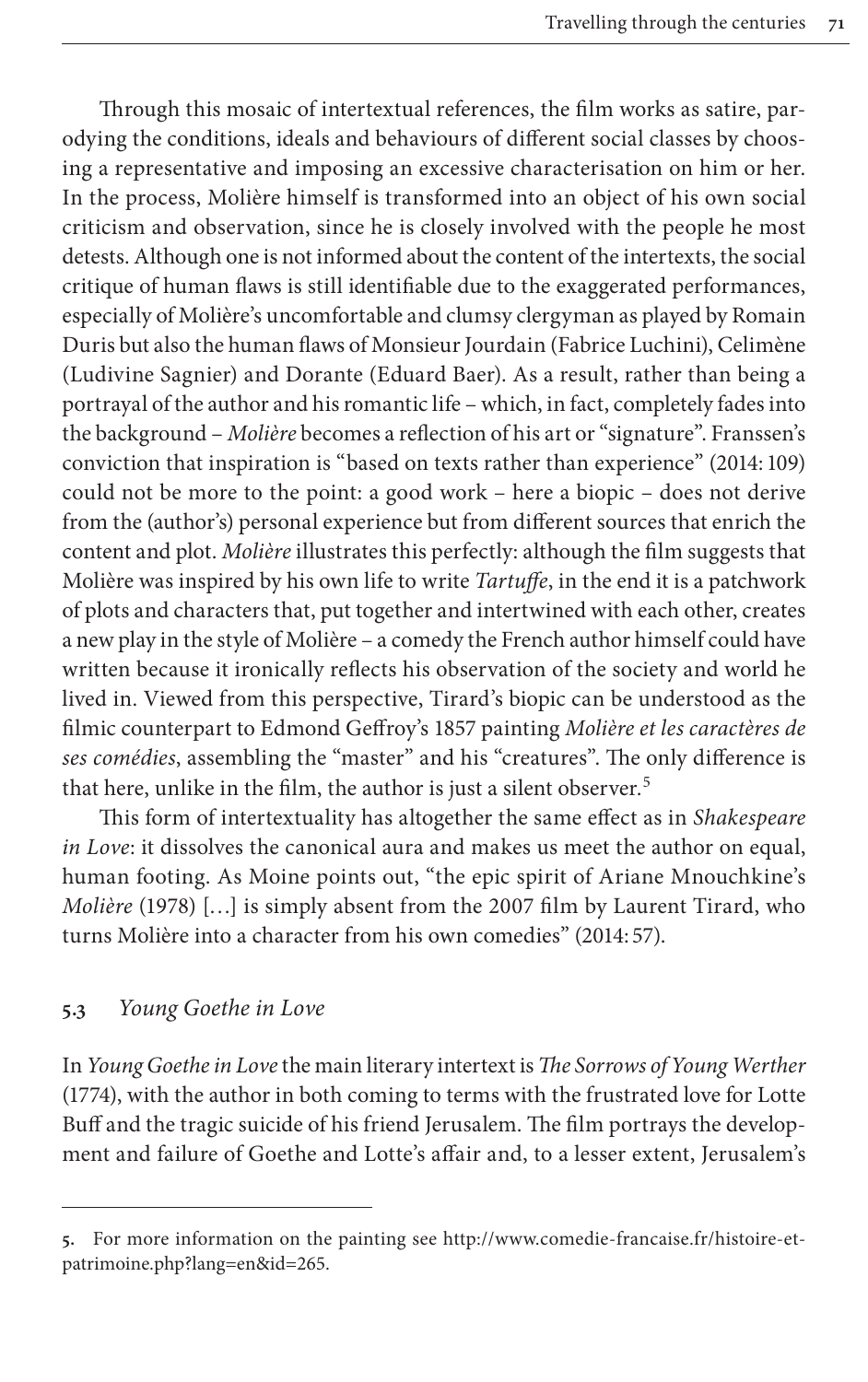Through this mosaic of intertextual references, the film works as satire, parodying the conditions, ideals and behaviours of different social classes by choosing a representative and imposing an excessive characterisation on him or her. In the process, Molière himself is transformed into an object of his own social criticism and observation, since he is closely involved with the people he most detests. Although one is not informed about the content of the intertexts, the social critique of human flaws is still identifiable due to the exaggerated performances, especially of Molière's uncomfortable and clumsy clergyman as played by Romain Duris but also the human flaws of Monsieur Jourdain (Fabrice Luchini), Celimène (Ludivine Sagnier) and Dorante (Eduard Baer). As a result, rat[her th](#page-17-12)an being a portrayal of the author and his romantic life – which, in fact, completely fades into the background – *Molière* becomes a reflection of his art or "signature". Franssen's conviction that inspiration is "based on texts rather than experience" (2014: 109) could not be more to the point: a good work – here a biopic – does not derive from the (author's) personal experience but from different sources that enrich the content and plot. *Molière* illustrates this perfectly: although the film suggests that Molière was inspired by his own life to write *Tartuffe*, in the end it is a patchwork of plots and characters that, put together and intertwined with each other, creates a new play in the style of Molière – a comedy the French author himself could have written because it ironically reflects his observation of the society and world he lived in. Viewed from this perspective, Tirard's biopic [ca](#page-12-0)n be understood as the filmic counterpart to Edmond Geffroy's 1857 painting *Molière et les caractères de ses comédies*, assembling the "master" and his "creatures". The only difference is that here, unlike in the film, the author is just a silent observer.<sup>5</sup>

This form of intertextuality has altogether the same effect as in *Shakespeare in Love*: it dissolves the canonical aura and mak[es us](#page-17-12) meet the author on equal, human footing. As Moine points out, "the epic spirit of Ariane Mnouchkine's *Molière* (1978) […] is simply absent from the 2007 film by Laurent Tirard, who turns Molière into a character from his own comedies" (2014: 57).

## **5.3** *Young Goethe in Love*

<span id="page-12-0"></span>In *Young Goethe in Love* the main literary intertext is *The Sorrows of Young Werther* (1774), with the author in both coming to terms with the frustrated love for Lotte Buff and the tragic suicide of his friend Jerusalem. The film portrays the development and failure of Goethe and Lotte's affair and, to a lesser extent, Jerusalem's

**<sup>5.</sup>** For more information on the painting see http://www.comedie-francaise.fr/histoire-etpatrimoine.php?lang=en&id=265.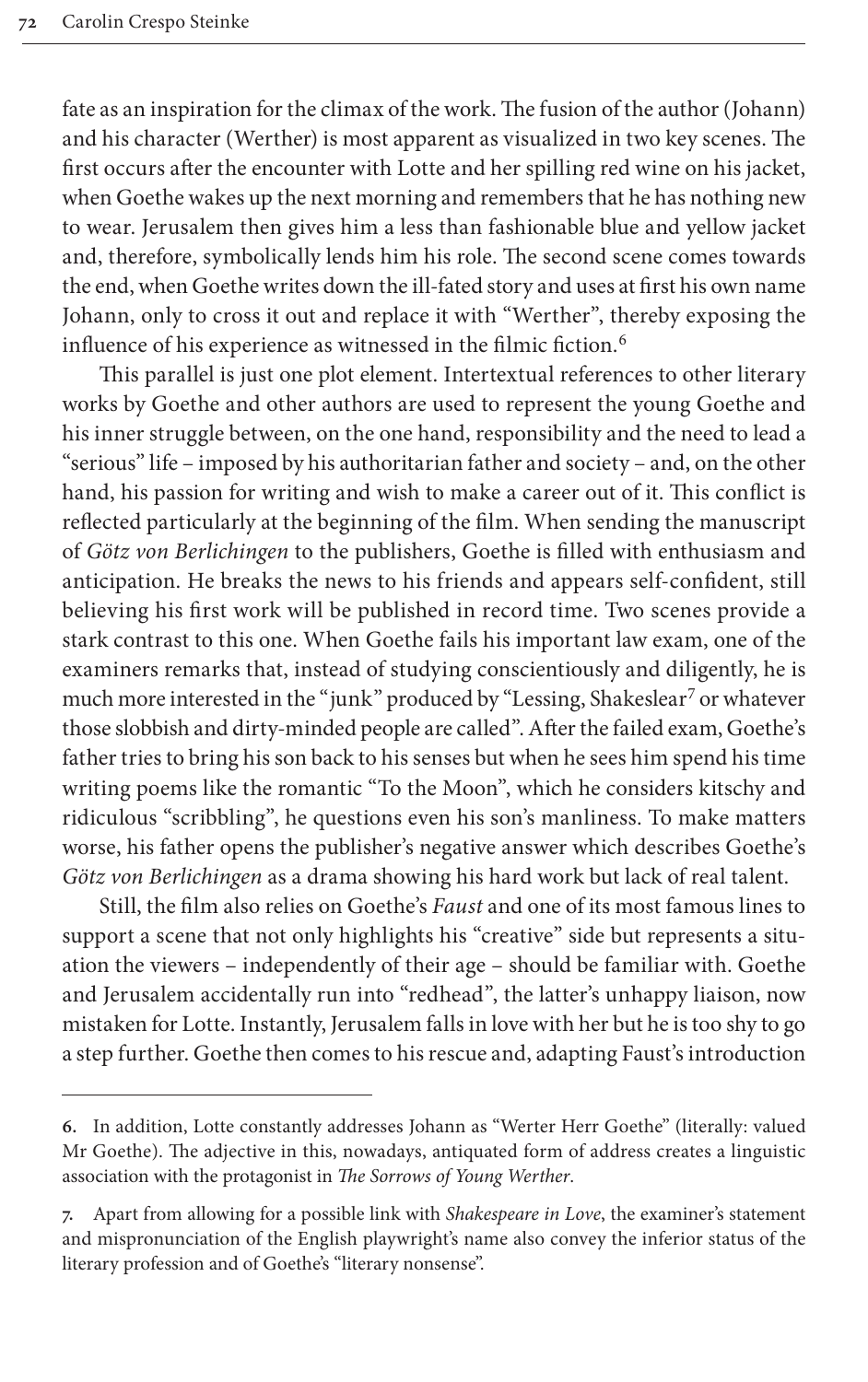fate as an inspiration for the climax of the work. The fusion of the author (Johann) and his character (Werther) is most apparent as visualized in two key scenes. The first occurs after the encounter with Lotte and her spilling red wine on his jacket, when Goethe wakes up the next morning and remembers that he has nothing new to wear. Jerusalem then gives him a less than fashionable blue and yellow jacket and, therefore, symbolically lends him his role. The s[ec](#page-13-0)ond scene comes towards the end, when Goethe writes down the ill-fated story and uses at first his own name Johann, only to cross it out and replace it with "Werther", thereby exposing the influence of his experience as witnessed in the filmic fiction.<sup>6</sup>

This parallel is just one plot element. Intertextual references to other literary works by Goethe and other authors are used to represent the young Goethe and his inner struggle between, on the one hand, responsibility and the need to lead a "serious" life – imposed by his authoritarian father and society – and, on the other hand, his passion for writing and wish to make a career out of it. This conflict is reflected particularly at the beginning of the film. When sending the manuscript of *Götz von Berlichingen* to the publishers, Goethe is filled with enthusiasm and anticipation. He breaks the news to his friends and appears self-confident, still believing his first work will be published in record time. T[wo](#page-13-0) scenes provide a stark contrast to this one. When Goethe fails his important law exam, one of the examiners remarks that, instead of studying conscientiously and diligently, he is much more interested in the "junk" produced by "Lessing, Shakeslear<sup>7</sup> or whatever those slobbish and dirty-minded people are called". After the failed exam, Goethe's father tries to bring his son back to his senses but when he sees him spend his time writing poems like the romantic "To the Moon", which he considers kitschy and ridiculous "scribbling", he questions even his son's manliness. To make matters worse, his father opens the publisher's negative answer which describes Goethe's *Götz von Berlichingen* as a drama showing his hard work but lack of real talent.

<span id="page-13-0"></span>Still, the film also relies on Goethe's *Faust* and one of its most famous lines to support a scene that not only highlights his "creative" side but represents a situation the viewers – independently of their age – should be familiar with. Goethe and Jerusalem accidentally run into "redhead", the latter's unhappy liaison, now mistaken for Lotte. Instantly, Jerusalem falls in love with her but he is too shy to go a step further. Goethe then comes to his rescue and, adapting Faust's introduction

**<sup>6.</sup>** In addition, Lotte constantly addresses Johann as "Werter Herr Goethe" (literally: valued Mr Goethe). The adjective in this, nowadays, antiquated form of address creates a linguistic association with the protagonist in *The Sorrows of Young Werther*.

**<sup>7.</sup>** Apart from allowing for a possible link with *Shakespeare in Love*, the examiner's statement and mispronunciation of the English playwright's name also convey the inferior status of the literary profession and of Goethe's "literary nonsense".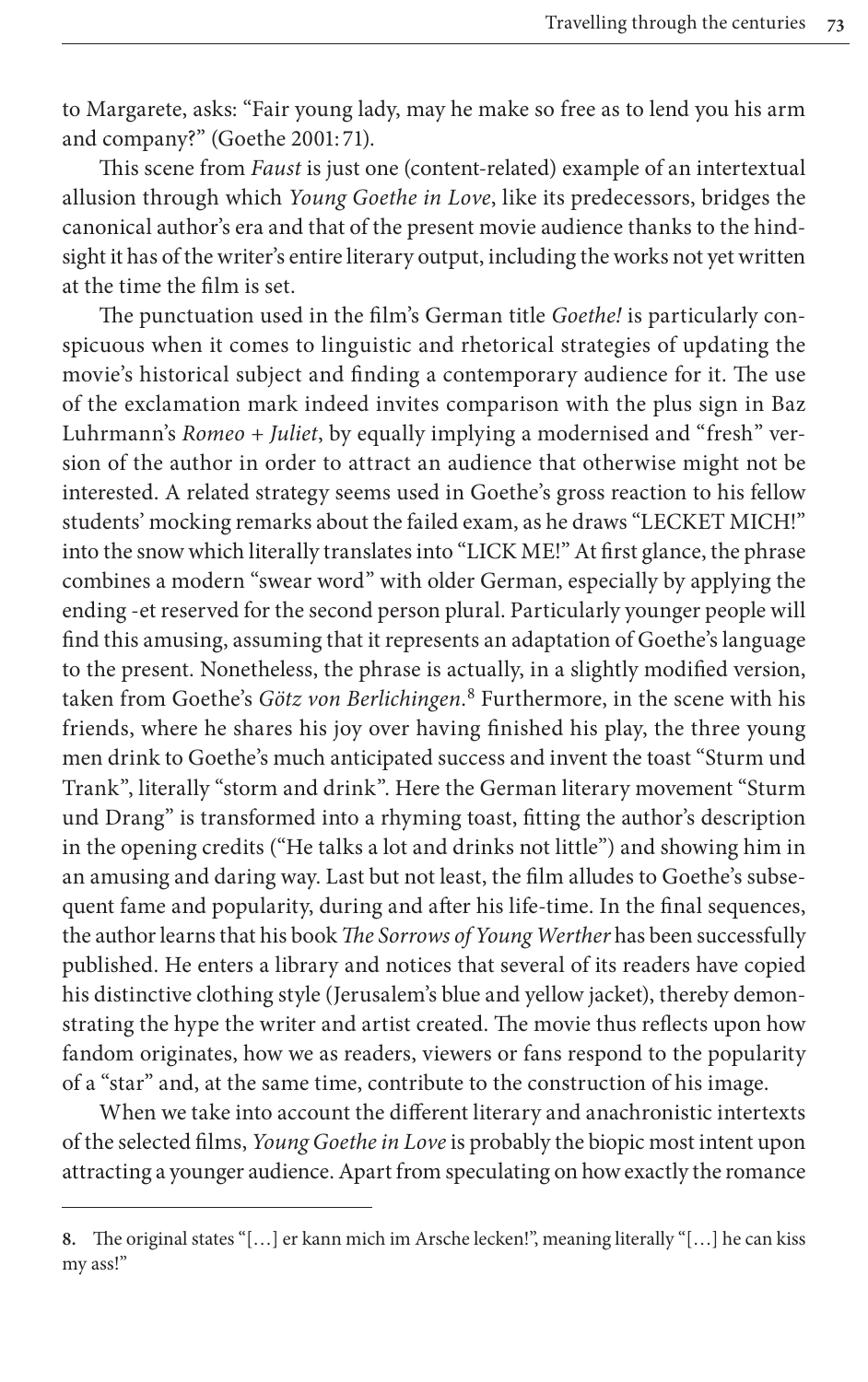to Margarete, asks: "Fair young lady, may he make so free as to lend you his arm and company?" (Goethe 2001: 71).

This scene from *Faust* is just one (content-related) example of an intertextual allusion through which *Young Goethe in Love*, like its predecessors, bridges the canonical author's era and that of the present movie audience thanks to the hindsight it has of the writer's entire literary output, including the works not yet written at the time the film is set.

The punctuation used in the film's German title *Goethe!* is particularly conspicuous when it comes to linguistic and rhetorical strategies of updating the movie's historical subject and finding a contemporary audience for it. The use of the exclamation mark indeed invites comparison with the plus sign in Baz Luhrmann's *Romeo + Juliet*, by equally implying a modernised and "fresh" version of the author in order to attract an audience that otherwise might not be interested. A related strategy seems used in Goethe's gross reaction to his fellow students' mocking remarks about the failed exam, as he draws "LECKET MICH!" into the snow which literally translates into "LICK ME!" At first glance, the phrase combines a modern "swear word" with older German, especially by applying the ending -et reserved for the second pe[rs](#page-14-0)on plural. Particularly younger people will find this amusing, assuming that it represents an adaptation of Goethe's language to the present. Nonetheless, the phrase is actually, in a slightly modified version, taken from Goethe's *Götz von Berlichingen*. 8 Furthermore, in the scene with his friends, where he shares his joy over having finished his play, the three young men drink to Goethe's much anticipated success and invent the toast "Sturm und Trank", literally "storm and drink". Here the German literary movement "Sturm und Drang" is transformed into a rhyming toast, fitting the author's description in the opening credits ("He talks a lot and drinks not little") and showing him in an amusing and daring way. Last but not least, the film alludes to Goethe's subsequent fame and popularity, during and after his life-time. In the final sequences, the author learns that his book *The Sorrows of Young Werther* has been successfully published. He enters a library and notices that several of its readers have copied his distinctive clothing style (Jerusalem's blue and yellow jacket), thereby demonstrating the hype the writer and artist created. The movie thus reflects upon how fandom originates, how we as readers, viewers or fans respond to the popularity of a "star" and, at the same time, contribute to the construction of his image.

<span id="page-14-0"></span>When we take into account the different literary and anachronistic intertexts of the selected films, *Young Goethe in Love* is probably the biopic most intent upon attracting a younger audience. Apart from speculating on how exactly the romance

**<sup>8.</sup>** The original states "[…] er kann mich im Arsche lecken!", meaning literally "[…] he can kiss my ass!"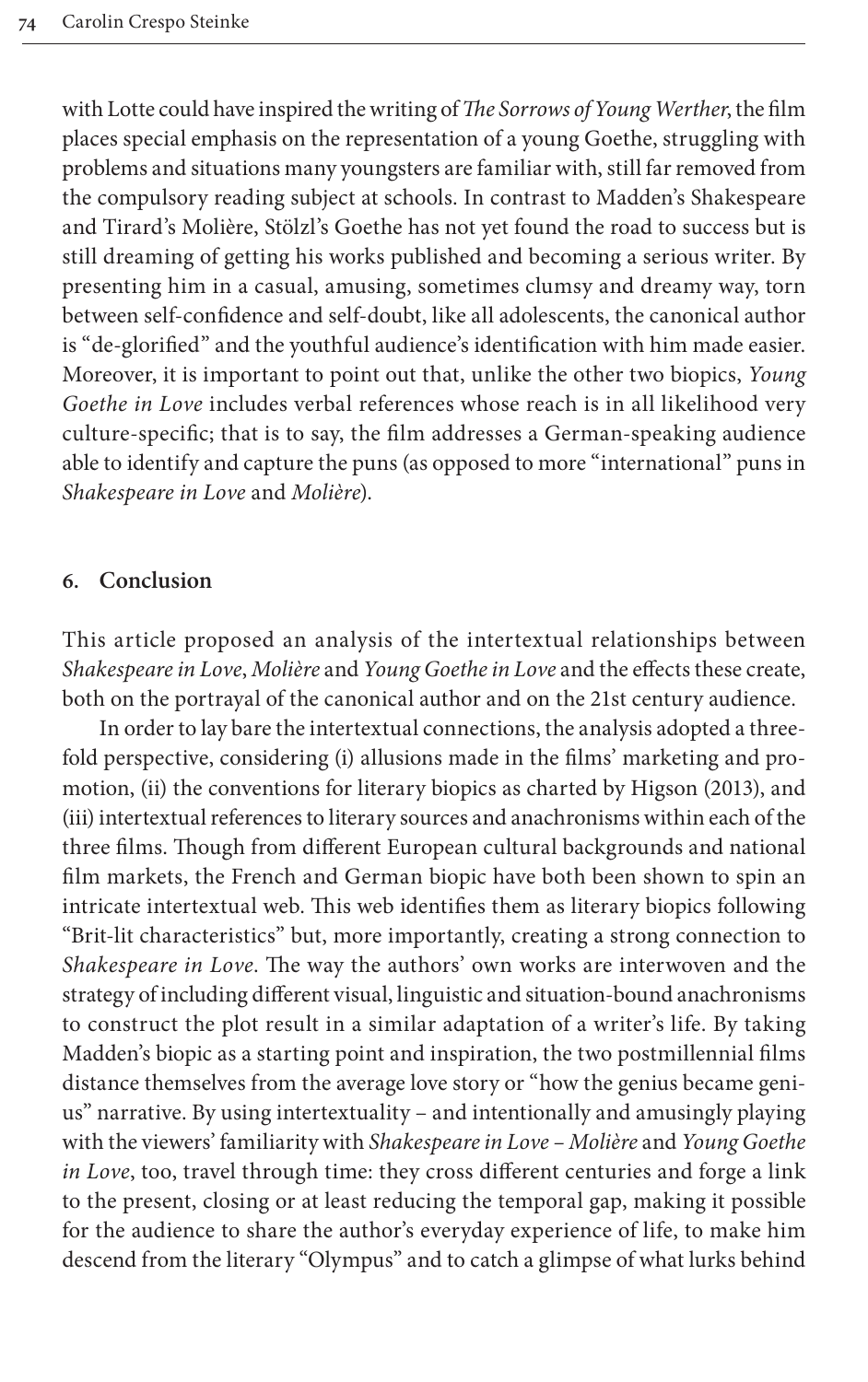with Lotte could have inspired the writing of *The Sorrows of Young Werther*, the film places special emphasis on the representation of a young Goethe, struggling with problems and situations many youngsters are familiar with, still far removed from the compulsory reading subject at schools. In contrast to Madden's Shakespeare and Tirard's Molière, Stölzl's Goethe has not yet found the road to success but is still dreaming of getting his works published and becoming a serious writer. By presenting him in a casual, amusing, sometimes clumsy and dreamy way, torn between self-confidence and self-doubt, like all adolescents, the canonical author is "de-glorified" and the youthful audience's identification with him made easier. Moreover, it is important to point out that, unlike the other two biopics, *Young Goethe in Love* includes verbal references whose reach is in all likelihood very culture-specific; that is to say, the film addresses a German-speaking audience able to identify and capture the puns (as opposed to more "international" puns in *Shakespeare in Love* and *Molière*).

#### **6. Conclusion**

This article proposed an analysis of the intertextual relationships between *Shakespeare in Love*, *Molière* and *Young Goethe in Love* and the effects these create, both on the portrayal of the canonical author and on t[he 21st century](#page-17-1) audience.

In order to lay bare the intertextual connections, the analysis adopted a threefold perspective, considering (i) allusions made in the films' marketing and promotion, (ii) the conventions for literary biopics as charted by Higson (2013), and (iii) intertextual references to literary sources and anachronisms within each of the three films. Though from different European cultural backgrounds and national film markets, the French and German biopic have both been shown to spin an intricate intertextual web. This web identifies them as literary biopics following "Brit-lit characteristics" but, more importantly, creating a strong connection to *Shakespeare in Love*. The way the authors' own works are interwoven and the strategy of including different visual, linguistic and situation-bound anachronisms to construct the plot result in a similar adaptation of a writer's life. By taking Madden's biopic as a starting point and inspiration, the two postmillennial films distance themselves from the average love story or "how the genius became genius" narrative. By using intertextuality – and intentionally and amusingly playing with the viewers' familiarity with *Shakespeare in Love – Molière* and *Young Goethe in Love*, too, travel through time: they cross different centuries and forge a link to the present, closing or at least reducing the temporal gap, making it possible for the audience to share the author's everyday experience of life, to make him descend from the literary "Olympus" and to catch a glimpse of what lurks behind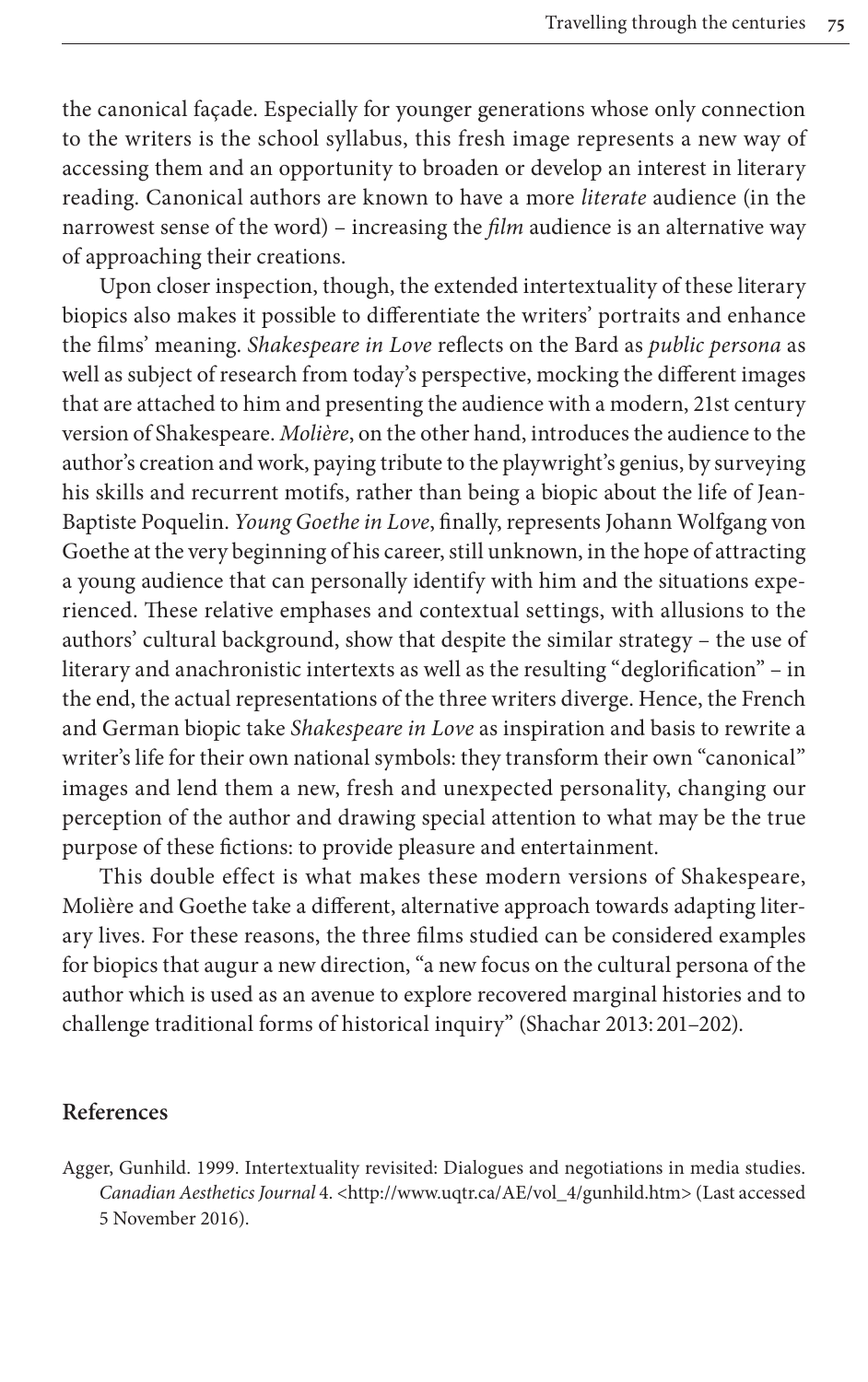the canonical façade. Especially for younger generations whose only connection to the writers is the school syllabus, this fresh image represents a new way of accessing them and an opportunity to broaden or develop an interest in literary reading. Canonical authors are known to have a more *literate* audience (in the narrowest sense of the word) – increasing the *film* audience is an alternative way of approaching their creations.

Upon closer inspection, though, the extended intertextuality of these literary biopics also makes it possible to differentiate the writers' portraits and enhance the films' meaning. *Shakespeare in Love* reflects on the Bard as *public persona* as well as subject of research from today's perspective, mocking the different images that are attached to him and presenting the audience with a modern, 21st century version of Shakespeare. *Molière*, on the other hand, introduces the audience to the author's creation and work, paying tribute to the playwright's genius, by surveying his skills and recurrent motifs, rather than being a biopic about the life of Jean-Baptiste Poquelin. *Young Goethe in Love*, finally, represents Johann Wolfgang von Goethe at the very beginning of his career, still unknown, in the hope of attracting a young audience that can personally identify with him and the situations experienced. These relative emphases and contextual settings, with allusions to the authors' cultural background, show that despite the similar strategy – the use of literary and anachronistic intertexts as well as the resulting "deglorification" – in the end, the actual representations of the three writers diverge. Hence, the French and German biopic take *Shakespeare in Love* as inspiration and basis to rewrite a writer's life for their own national symbols: they transform their own "canonical" images and lend them a new, fresh and unexpected personality, changing our perception of the author and drawing special attention to what may be the true purpose of these fictions: to provide pleasure and entertainment.

This double effect is what makes these modern versions of Shakespeare, Molière and Goethe take a different, alternative approach towards adapting literary lives. For these reasons, the three films [studied can b](#page-18-5)e considered examples for biopics that augur a new direction, "a new focus on the cultural persona of the author which is used as an avenue to explore recovered marginal histories and to challenge traditional forms of historical inquiry" (Shachar 2013: 201–202).

#### <span id="page-16-0"></span>**References**

Agger, Gunhild. 1999. Intertextuality revisited: Dialogues and negotiations in media studies. Canadian Aesthetics Journal 4. <http://www.uqtr.ca/AE/vol\_4/gunhild.htm> (Last accessed 5 November 2016).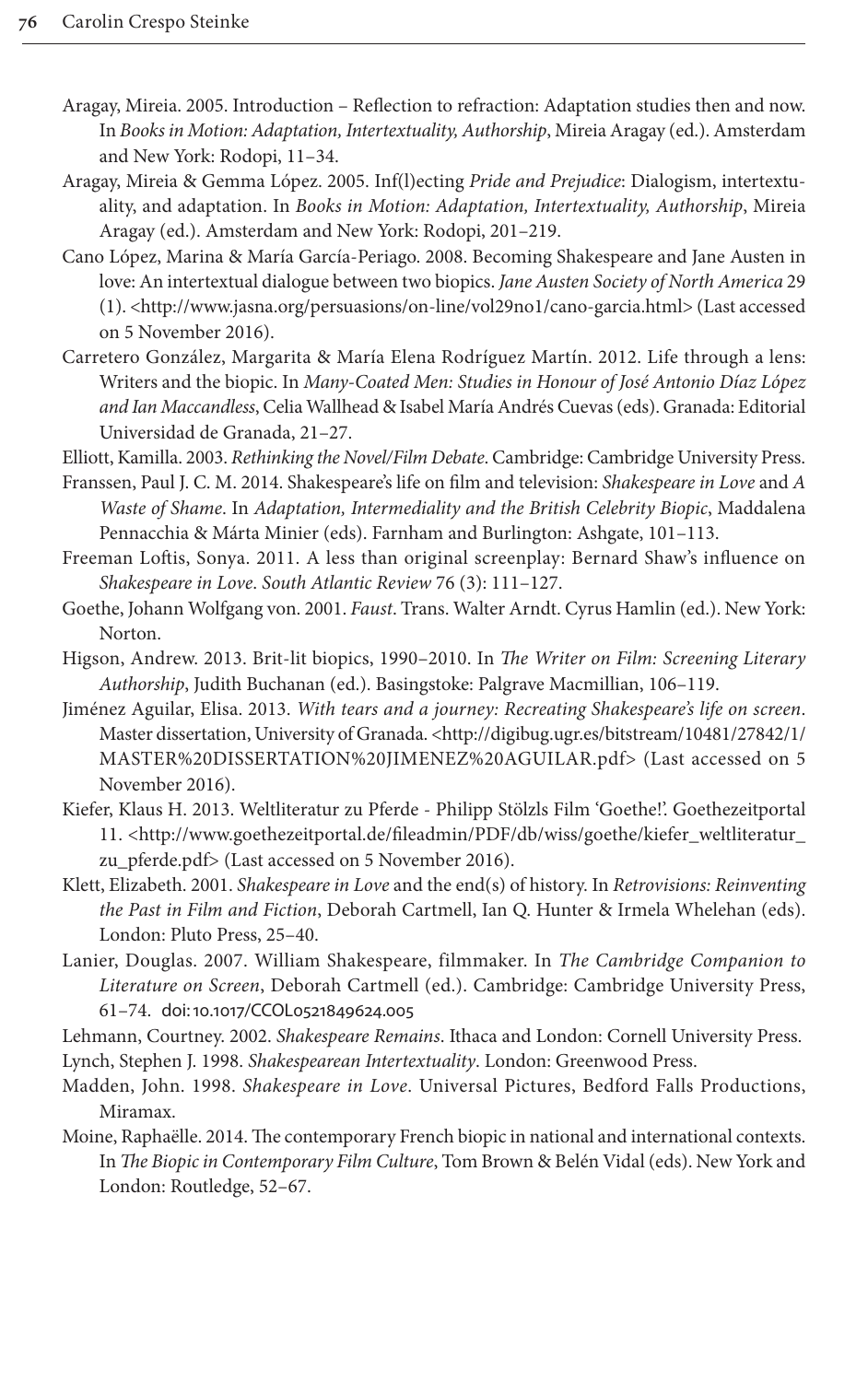- <span id="page-17-9"></span>Aragay, Mireia. 2005. Introduction – Reflection to refraction: Adaptation studies then and now. In *Books in Motion: Adaptation, Intertextuality, Authorship*, Mireia Aragay (ed.). Amsterdam and New York: Rodopi, 11–34.
- <span id="page-17-6"></span>Aragay, Mireia & Gemma López. 2005. Inf(l)ecting *Pride and Prejudice*: Dialogism, intertextuality, and adaptation. In *Books in Motion: Adaptation, Intertextuality, Authorship*, Mireia [Aragay \(ed.\). Amsterdam and New York: Rodopi, 201–219.](http://www.jasna.org/persuasions/on-line/vol29no1/cano-garcia.html)
- <span id="page-17-10"></span>Cano López, Marina & María García-Periago. 2008. Becoming Shakespeare and Jane Austen in love: An intertextual dialogue between two biopics. *Jane Austen Society of North America* 29 (1). <http://www.jasna.org/persuasions/on-line/vol29no1/cano-garcia.html> (Last accessed on 5 November 2016).
- <span id="page-17-8"></span>Carretero González, Margarita & María Elena Rodríguez Martín. 2012. Life through a lens: Writers and the biopic. In *Many-Coated Men: Studies in Honour of José Antonio Díaz López and Ian Maccandless*, Celia Wallhead & Isabel María Andrés Cuevas (eds). Granada: Editorial Universidad de Granada, 21–27.
- <span id="page-17-5"></span>Elliott, Kamilla. 2003. *Rethinking the Novel/Film Debate*. Cambridge: Cambridge University Press.
- <span id="page-17-2"></span>Franssen, Paul J. C. M. 2014. Shakespeare's life on film and television: *Shakespeare in Love* and *A Waste of Shame*. In *Adaptation, Intermediality and the British Celebrity Biopic*, Maddalena Pennacchia & Márta Minier (eds). Farnham and Burlington: Ashgate, 101–113.
- Freeman Loftis, Sonya. 2011. A less than original screenplay: Bernard Shaw's influence on *Shakespeare in Love*. *South Atlantic Review* 76 (3): 111–127.
- <span id="page-17-1"></span>Goethe, Johann Wolfgang von. 2001. *Faust*. Trans. Walter Arndt. Cyrus Hamlin (ed.). New York: Norton.
- <span id="page-17-4"></span>Higson, Andrew. 2013. Brit-lit biopics, 1990–2010. In *[The Writer on Film: Screening L](http://digibug.ugr.es/bitstream/10481/27842/1/MASTER%20DISSERTATION%20JIMENEZ%20AGUILAR.pdf)iterary Authorship*[, Judith Buchanan \(ed.\). Basingstoke: Palgrave M](http://digibug.ugr.es/bitstream/10481/27842/1/MASTER%20DISSERTATION%20JIMENEZ%20AGUILAR.pdf)acmillian, 106–119.
- <span id="page-17-11"></span>Jiménez Aguilar, Elisa. 2013. *With tears and a journey: Recreating Shakespeare's life on screen*. Master dissertation, University of Granada. <http://digibug.ugr.es/bitstream/10481/27842/1/ [MASTER%20DISSERTATION%20JIMENEZ%20AGUILAR.pdf> \(Last accesse](http://www.goethezeitportal.de/fileadmin/PDF/db/wiss/goethe/kiefer_weltliteratur_zu_pferde.pdf)d on 5 [Novem](http://www.goethezeitportal.de/fileadmin/PDF/db/wiss/goethe/kiefer_weltliteratur_zu_pferde.pdf)ber 2016).
- <span id="page-17-3"></span>Kiefer, Klaus H. 2013. Weltliteratur zu Pferde - Philipp Stölzls Film 'Goethe!'. Goethezeitportal 11. <http://www.goethezeitportal.de/fileadmin/PDF/db/wiss/goethe/kiefer\_weltliteratur\_ zu\_pferde.pdf> (Last accessed on 5 November 2016).
- <span id="page-17-7"></span>Klett, Elizabeth. 2001. *Shakespeare in Love* and the end(s) of history. In *Retrovisions: Reinventing the Past in Film and Fiction*, Deborah Cartmell, Ian Q. Hunter & Irmela Whelehan (eds). Lo[ndon: Pluto Press, 25–40.](http://dx.doi.org/10.1017/CCOL0521849624.005)
- <span id="page-17-0"></span>Lanier, Douglas. 2007. William Shakespeare, filmmaker. In *The Cambridge Companion to Literature on Screen*, Deborah Cartmell (ed.). Cambridge: Cambridge University Press, 61–74. doi:10.1017/CCOL0521849624.005
- Lehmann, Courtney. 2002. *Shakespeare Remains*. Ithaca and London: Cornell University Press.
- <span id="page-17-12"></span>Lynch, Stephen J. 1998. *Shakespearean Intertextuality*. London: Greenwood Press.
- Madden, John. 1998. *Shakespeare in Love*. Universal Pictures, Bedford Falls Productions, Miramax.
- Moine, Raphaëlle. 2014. The contemporary French biopic in national and international contexts. In *The Biopic in Contemporary Film Culture*, Tom Brown & Belén Vidal (eds). New York and London: Routledge, 52–67.